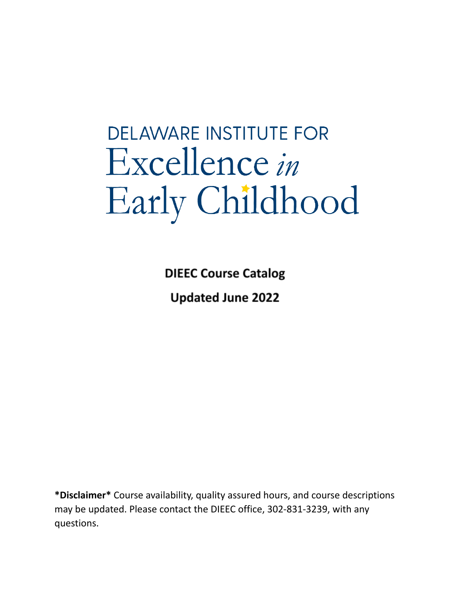# **DELAWARE INSTITUTE FOR** Excellence in Early Childhood

**DIEEC Course Catalog Updated June 2022** 

**\*Disclaimer\*** Course availability, quality assured hours, and course descriptions may be updated. Please contact the DIEEC office, 302-831-3239, with any questions.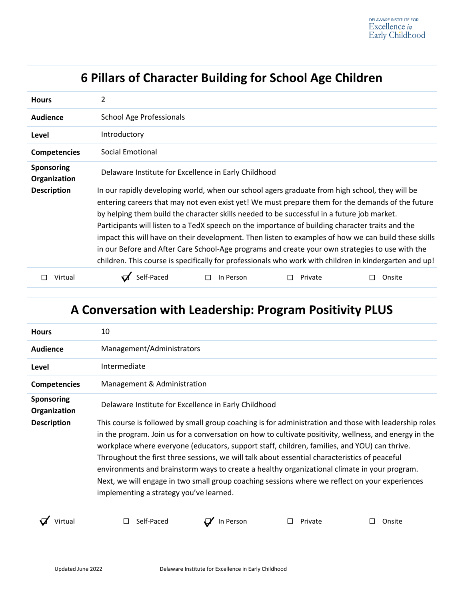| 6 Pillars of Character Building for School Age Children |                                                                                                                                                                                                                                                                                                                                                                                                                                                                                                                                                                                                                                                                                                                           |           |         |        |
|---------------------------------------------------------|---------------------------------------------------------------------------------------------------------------------------------------------------------------------------------------------------------------------------------------------------------------------------------------------------------------------------------------------------------------------------------------------------------------------------------------------------------------------------------------------------------------------------------------------------------------------------------------------------------------------------------------------------------------------------------------------------------------------------|-----------|---------|--------|
| <b>Hours</b>                                            | $\overline{2}$                                                                                                                                                                                                                                                                                                                                                                                                                                                                                                                                                                                                                                                                                                            |           |         |        |
| <b>Audience</b>                                         | <b>School Age Professionals</b>                                                                                                                                                                                                                                                                                                                                                                                                                                                                                                                                                                                                                                                                                           |           |         |        |
| Level                                                   | Introductory                                                                                                                                                                                                                                                                                                                                                                                                                                                                                                                                                                                                                                                                                                              |           |         |        |
| <b>Competencies</b>                                     | Social Emotional                                                                                                                                                                                                                                                                                                                                                                                                                                                                                                                                                                                                                                                                                                          |           |         |        |
| <b>Sponsoring</b><br>Organization                       | Delaware Institute for Excellence in Early Childhood                                                                                                                                                                                                                                                                                                                                                                                                                                                                                                                                                                                                                                                                      |           |         |        |
| <b>Description</b>                                      | In our rapidly developing world, when our school agers graduate from high school, they will be<br>entering careers that may not even exist yet! We must prepare them for the demands of the future<br>by helping them build the character skills needed to be successful in a future job market.<br>Participants will listen to a TedX speech on the importance of building character traits and the<br>impact this will have on their development. Then listen to examples of how we can build these skills<br>in our Before and After Care School-Age programs and create your own strategies to use with the<br>children. This course is specifically for professionals who work with children in kindergarten and up! |           |         |        |
| Virtual                                                 | Self-Paced                                                                                                                                                                                                                                                                                                                                                                                                                                                                                                                                                                                                                                                                                                                | In Person | Private | Onsite |

| A Conversation with Leadership: Program Positivity PLUS |                                                                                                                                                                                                                                                                                                                                                                                                                                                                                                                                                                                                                                                               |           |         |        |  |
|---------------------------------------------------------|---------------------------------------------------------------------------------------------------------------------------------------------------------------------------------------------------------------------------------------------------------------------------------------------------------------------------------------------------------------------------------------------------------------------------------------------------------------------------------------------------------------------------------------------------------------------------------------------------------------------------------------------------------------|-----------|---------|--------|--|
| <b>Hours</b>                                            | 10                                                                                                                                                                                                                                                                                                                                                                                                                                                                                                                                                                                                                                                            |           |         |        |  |
| Audience                                                | Management/Administrators                                                                                                                                                                                                                                                                                                                                                                                                                                                                                                                                                                                                                                     |           |         |        |  |
| Level                                                   | Intermediate                                                                                                                                                                                                                                                                                                                                                                                                                                                                                                                                                                                                                                                  |           |         |        |  |
| <b>Competencies</b>                                     | Management & Administration                                                                                                                                                                                                                                                                                                                                                                                                                                                                                                                                                                                                                                   |           |         |        |  |
| <b>Sponsoring</b><br>Organization                       | Delaware Institute for Excellence in Early Childhood                                                                                                                                                                                                                                                                                                                                                                                                                                                                                                                                                                                                          |           |         |        |  |
| <b>Description</b>                                      | This course is followed by small group coaching is for administration and those with leadership roles<br>in the program. Join us for a conversation on how to cultivate positivity, wellness, and energy in the<br>workplace where everyone (educators, support staff, children, families, and YOU) can thrive.<br>Throughout the first three sessions, we will talk about essential characteristics of peaceful<br>environments and brainstorm ways to create a healthy organizational climate in your program.<br>Next, we will engage in two small group coaching sessions where we reflect on your experiences<br>implementing a strategy you've learned. |           |         |        |  |
| Virtual                                                 | Self-Paced                                                                                                                                                                                                                                                                                                                                                                                                                                                                                                                                                                                                                                                    | In Person | Private | Onsite |  |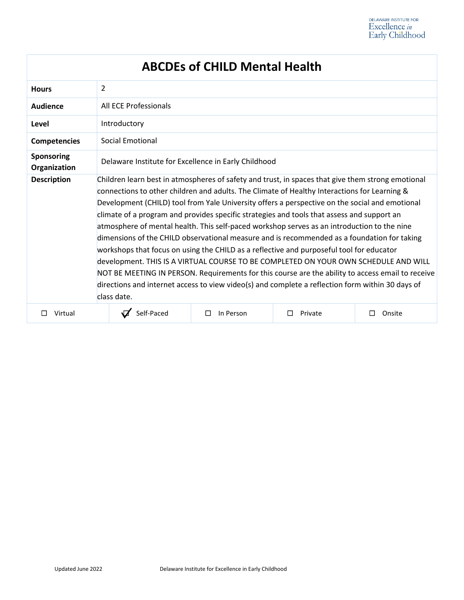| <b>ABCDEs of CHILD Mental Health</b> |                                                                                                                                                                                                                                                                                                                                                                                                                                                                                                                                                                                                                                                                                                                                                                                                                                                                                                                                                                                                            |                     |         |        |
|--------------------------------------|------------------------------------------------------------------------------------------------------------------------------------------------------------------------------------------------------------------------------------------------------------------------------------------------------------------------------------------------------------------------------------------------------------------------------------------------------------------------------------------------------------------------------------------------------------------------------------------------------------------------------------------------------------------------------------------------------------------------------------------------------------------------------------------------------------------------------------------------------------------------------------------------------------------------------------------------------------------------------------------------------------|---------------------|---------|--------|
| <b>Hours</b>                         | 2                                                                                                                                                                                                                                                                                                                                                                                                                                                                                                                                                                                                                                                                                                                                                                                                                                                                                                                                                                                                          |                     |         |        |
| Audience                             | All ECE Professionals                                                                                                                                                                                                                                                                                                                                                                                                                                                                                                                                                                                                                                                                                                                                                                                                                                                                                                                                                                                      |                     |         |        |
| Level                                | Introductory                                                                                                                                                                                                                                                                                                                                                                                                                                                                                                                                                                                                                                                                                                                                                                                                                                                                                                                                                                                               |                     |         |        |
| <b>Competencies</b>                  | <b>Social Emotional</b>                                                                                                                                                                                                                                                                                                                                                                                                                                                                                                                                                                                                                                                                                                                                                                                                                                                                                                                                                                                    |                     |         |        |
| Sponsoring<br>Organization           | Delaware Institute for Excellence in Early Childhood                                                                                                                                                                                                                                                                                                                                                                                                                                                                                                                                                                                                                                                                                                                                                                                                                                                                                                                                                       |                     |         |        |
| <b>Description</b>                   | Children learn best in atmospheres of safety and trust, in spaces that give them strong emotional<br>connections to other children and adults. The Climate of Healthy Interactions for Learning &<br>Development (CHILD) tool from Yale University offers a perspective on the social and emotional<br>climate of a program and provides specific strategies and tools that assess and support an<br>atmosphere of mental health. This self-paced workshop serves as an introduction to the nine<br>dimensions of the CHILD observational measure and is recommended as a foundation for taking<br>workshops that focus on using the CHILD as a reflective and purposeful tool for educator<br>development. THIS IS A VIRTUAL COURSE TO BE COMPLETED ON YOUR OWN SCHEDULE AND WILL<br>NOT BE MEETING IN PERSON. Requirements for this course are the ability to access email to receive<br>directions and internet access to view video(s) and complete a reflection form within 30 days of<br>class date. |                     |         |        |
| Virtual                              | Self-Paced                                                                                                                                                                                                                                                                                                                                                                                                                                                                                                                                                                                                                                                                                                                                                                                                                                                                                                                                                                                                 | In Person<br>$\Box$ | Private | Onsite |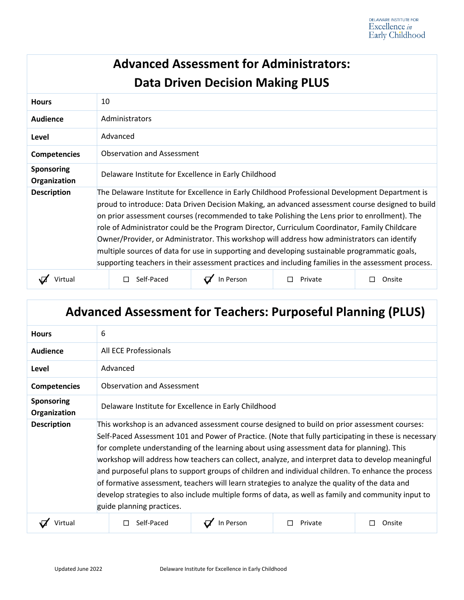| <b>Advanced Assessment for Administrators:</b> |                                                                                                                                                                                                                                                                                                                                                                                                                                                                                                                                                                                                                                                                                                               |                      |              |                  |
|------------------------------------------------|---------------------------------------------------------------------------------------------------------------------------------------------------------------------------------------------------------------------------------------------------------------------------------------------------------------------------------------------------------------------------------------------------------------------------------------------------------------------------------------------------------------------------------------------------------------------------------------------------------------------------------------------------------------------------------------------------------------|----------------------|--------------|------------------|
| <b>Data Driven Decision Making PLUS</b>        |                                                                                                                                                                                                                                                                                                                                                                                                                                                                                                                                                                                                                                                                                                               |                      |              |                  |
| <b>Hours</b>                                   | 10                                                                                                                                                                                                                                                                                                                                                                                                                                                                                                                                                                                                                                                                                                            |                      |              |                  |
| <b>Audience</b>                                | Administrators                                                                                                                                                                                                                                                                                                                                                                                                                                                                                                                                                                                                                                                                                                |                      |              |                  |
| Level                                          | Advanced                                                                                                                                                                                                                                                                                                                                                                                                                                                                                                                                                                                                                                                                                                      |                      |              |                  |
| <b>Competencies</b>                            | Observation and Assessment                                                                                                                                                                                                                                                                                                                                                                                                                                                                                                                                                                                                                                                                                    |                      |              |                  |
| <b>Sponsoring</b><br>Organization              | Delaware Institute for Excellence in Early Childhood                                                                                                                                                                                                                                                                                                                                                                                                                                                                                                                                                                                                                                                          |                      |              |                  |
| <b>Description</b>                             | The Delaware Institute for Excellence in Early Childhood Professional Development Department is<br>proud to introduce: Data Driven Decision Making, an advanced assessment course designed to build<br>on prior assessment courses (recommended to take Polishing the Lens prior to enrollment). The<br>role of Administrator could be the Program Director, Curriculum Coordinator, Family Childcare<br>Owner/Provider, or Administrator. This workshop will address how administrators can identify<br>multiple sources of data for use in supporting and developing sustainable programmatic goals,<br>supporting teachers in their assessment practices and including families in the assessment process. |                      |              |                  |
| Virtual                                        | $\Box$ Self-Paced                                                                                                                                                                                                                                                                                                                                                                                                                                                                                                                                                                                                                                                                                             | $\sqrt{ }$ In Person | Private<br>П | Onsite<br>$\Box$ |

# **Advanced Assessment for Teachers: Purposeful Planning (PLUS)**

| <b>Hours</b>                      | 6                                                                                                                                                                                                                                                                                                                                                                                                                                                                                                                                                                                                                                                                                                                                                     |           |         |        |
|-----------------------------------|-------------------------------------------------------------------------------------------------------------------------------------------------------------------------------------------------------------------------------------------------------------------------------------------------------------------------------------------------------------------------------------------------------------------------------------------------------------------------------------------------------------------------------------------------------------------------------------------------------------------------------------------------------------------------------------------------------------------------------------------------------|-----------|---------|--------|
| Audience                          | All ECE Professionals                                                                                                                                                                                                                                                                                                                                                                                                                                                                                                                                                                                                                                                                                                                                 |           |         |        |
| Level                             | Advanced                                                                                                                                                                                                                                                                                                                                                                                                                                                                                                                                                                                                                                                                                                                                              |           |         |        |
| <b>Competencies</b>               | <b>Observation and Assessment</b>                                                                                                                                                                                                                                                                                                                                                                                                                                                                                                                                                                                                                                                                                                                     |           |         |        |
| <b>Sponsoring</b><br>Organization | Delaware Institute for Excellence in Early Childhood                                                                                                                                                                                                                                                                                                                                                                                                                                                                                                                                                                                                                                                                                                  |           |         |        |
| <b>Description</b>                | This workshop is an advanced assessment course designed to build on prior assessment courses:<br>Self-Paced Assessment 101 and Power of Practice. (Note that fully participating in these is necessary<br>for complete understanding of the learning about using assessment data for planning). This<br>workshop will address how teachers can collect, analyze, and interpret data to develop meaningful<br>and purposeful plans to support groups of children and individual children. To enhance the process<br>of formative assessment, teachers will learn strategies to analyze the quality of the data and<br>develop strategies to also include multiple forms of data, as well as family and community input to<br>guide planning practices. |           |         |        |
| Virtual                           | Self-Paced                                                                                                                                                                                                                                                                                                                                                                                                                                                                                                                                                                                                                                                                                                                                            | In Person | Private | Onsite |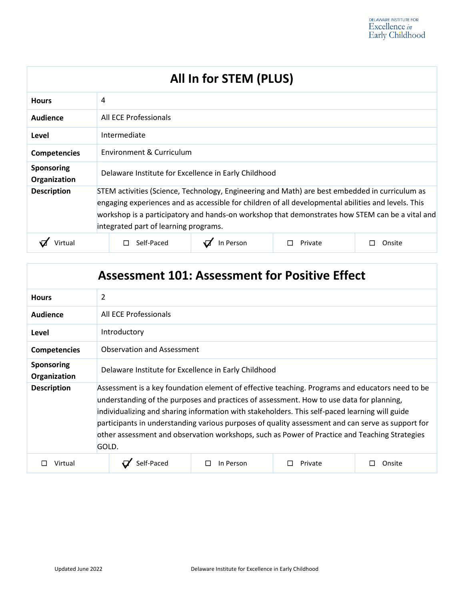| All In for STEM (PLUS)            |                                                                                                                                                                                                                                                                                                                                                   |         |        |
|-----------------------------------|---------------------------------------------------------------------------------------------------------------------------------------------------------------------------------------------------------------------------------------------------------------------------------------------------------------------------------------------------|---------|--------|
| <b>Hours</b>                      | 4                                                                                                                                                                                                                                                                                                                                                 |         |        |
| Audience                          | All ECE Professionals                                                                                                                                                                                                                                                                                                                             |         |        |
| Level                             | Intermediate                                                                                                                                                                                                                                                                                                                                      |         |        |
| <b>Competencies</b>               | Environment & Curriculum                                                                                                                                                                                                                                                                                                                          |         |        |
| <b>Sponsoring</b><br>Organization | Delaware Institute for Excellence in Early Childhood                                                                                                                                                                                                                                                                                              |         |        |
| <b>Description</b>                | STEM activities (Science, Technology, Engineering and Math) are best embedded in curriculum as<br>engaging experiences and as accessible for children of all developmental abilities and levels. This<br>workshop is a participatory and hands-on workshop that demonstrates how STEM can be a vital and<br>integrated part of learning programs. |         |        |
|                                   | In Person<br>Self-Paced                                                                                                                                                                                                                                                                                                                           | Private | Onsite |

| <b>Assessment 101: Assessment for Positive Effect</b> |                                                                                                                                                                                                                                                                                                                                                                                                                                                                                                              |           |         |        |  |
|-------------------------------------------------------|--------------------------------------------------------------------------------------------------------------------------------------------------------------------------------------------------------------------------------------------------------------------------------------------------------------------------------------------------------------------------------------------------------------------------------------------------------------------------------------------------------------|-----------|---------|--------|--|
| <b>Hours</b>                                          | 2                                                                                                                                                                                                                                                                                                                                                                                                                                                                                                            |           |         |        |  |
| Audience                                              | All ECE Professionals                                                                                                                                                                                                                                                                                                                                                                                                                                                                                        |           |         |        |  |
| Level                                                 | Introductory                                                                                                                                                                                                                                                                                                                                                                                                                                                                                                 |           |         |        |  |
| <b>Competencies</b>                                   | Observation and Assessment                                                                                                                                                                                                                                                                                                                                                                                                                                                                                   |           |         |        |  |
| <b>Sponsoring</b><br>Organization                     | Delaware Institute for Excellence in Early Childhood                                                                                                                                                                                                                                                                                                                                                                                                                                                         |           |         |        |  |
| <b>Description</b>                                    | Assessment is a key foundation element of effective teaching. Programs and educators need to be<br>understanding of the purposes and practices of assessment. How to use data for planning,<br>individualizing and sharing information with stakeholders. This self-paced learning will guide<br>participants in understanding various purposes of quality assessment and can serve as support for<br>other assessment and observation workshops, such as Power of Practice and Teaching Strategies<br>GOLD. |           |         |        |  |
| Virtual                                               | Self-Paced                                                                                                                                                                                                                                                                                                                                                                                                                                                                                                   | In Person | Private | Onsite |  |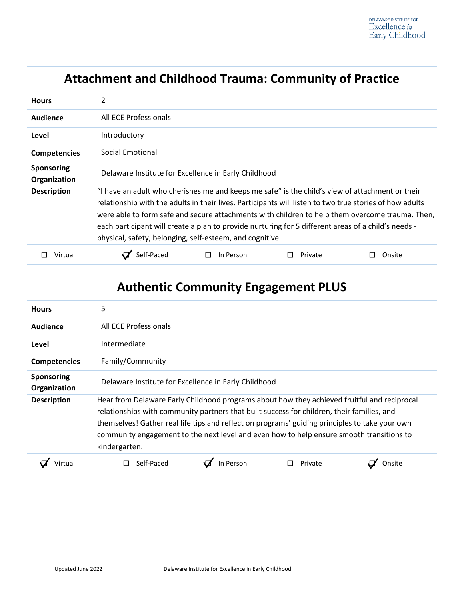|                                   | <b>Attachment and Childhood Trauma: Community of Practice</b>                                                                                                                                                                                                                                                                                                                                                                                                                    |                |         |        |
|-----------------------------------|----------------------------------------------------------------------------------------------------------------------------------------------------------------------------------------------------------------------------------------------------------------------------------------------------------------------------------------------------------------------------------------------------------------------------------------------------------------------------------|----------------|---------|--------|
| <b>Hours</b>                      | $\overline{2}$                                                                                                                                                                                                                                                                                                                                                                                                                                                                   |                |         |        |
| <b>Audience</b>                   | All ECE Professionals                                                                                                                                                                                                                                                                                                                                                                                                                                                            |                |         |        |
| Level                             | Introductory                                                                                                                                                                                                                                                                                                                                                                                                                                                                     |                |         |        |
| <b>Competencies</b>               | Social Emotional                                                                                                                                                                                                                                                                                                                                                                                                                                                                 |                |         |        |
| <b>Sponsoring</b><br>Organization | Delaware Institute for Excellence in Early Childhood                                                                                                                                                                                                                                                                                                                                                                                                                             |                |         |        |
| <b>Description</b>                | "I have an adult who cherishes me and keeps me safe" is the child's view of attachment or their<br>relationship with the adults in their lives. Participants will listen to two true stories of how adults<br>were able to form safe and secure attachments with children to help them overcome trauma. Then,<br>each participant will create a plan to provide nurturing for 5 different areas of a child's needs -<br>physical, safety, belonging, self-esteem, and cognitive. |                |         |        |
| Virtual                           | Self-Paced                                                                                                                                                                                                                                                                                                                                                                                                                                                                       | In Person<br>П | Private | Onsite |

| <b>Authentic Community Engagement PLUS</b> |                                                                                                                                                                                                                                                                                                                                                                                                          |           |         |  |
|--------------------------------------------|----------------------------------------------------------------------------------------------------------------------------------------------------------------------------------------------------------------------------------------------------------------------------------------------------------------------------------------------------------------------------------------------------------|-----------|---------|--|
| <b>Hours</b>                               | 5                                                                                                                                                                                                                                                                                                                                                                                                        |           |         |  |
| Audience                                   | All ECE Professionals                                                                                                                                                                                                                                                                                                                                                                                    |           |         |  |
| Level                                      | Intermediate                                                                                                                                                                                                                                                                                                                                                                                             |           |         |  |
| <b>Competencies</b>                        | Family/Community                                                                                                                                                                                                                                                                                                                                                                                         |           |         |  |
| Sponsoring<br>Organization                 | Delaware Institute for Excellence in Early Childhood                                                                                                                                                                                                                                                                                                                                                     |           |         |  |
| <b>Description</b>                         | Hear from Delaware Early Childhood programs about how they achieved fruitful and reciprocal<br>relationships with community partners that built success for children, their families, and<br>themselves! Gather real life tips and reflect on programs' guiding principles to take your own<br>community engagement to the next level and even how to help ensure smooth transitions to<br>kindergarten. |           |         |  |
|                                            | Self-Paced                                                                                                                                                                                                                                                                                                                                                                                               | In Person | Private |  |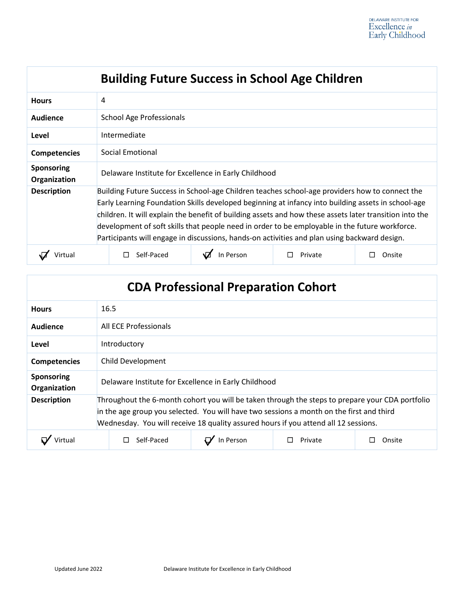| <b>Building Future Success in School Age Children</b> |                                                                                                                                                                                                                                                                                                                                                                                                                                                                                                                   |           |         |        |
|-------------------------------------------------------|-------------------------------------------------------------------------------------------------------------------------------------------------------------------------------------------------------------------------------------------------------------------------------------------------------------------------------------------------------------------------------------------------------------------------------------------------------------------------------------------------------------------|-----------|---------|--------|
| <b>Hours</b>                                          | 4                                                                                                                                                                                                                                                                                                                                                                                                                                                                                                                 |           |         |        |
| Audience                                              | <b>School Age Professionals</b>                                                                                                                                                                                                                                                                                                                                                                                                                                                                                   |           |         |        |
| Level                                                 | Intermediate                                                                                                                                                                                                                                                                                                                                                                                                                                                                                                      |           |         |        |
| <b>Competencies</b>                                   | Social Emotional                                                                                                                                                                                                                                                                                                                                                                                                                                                                                                  |           |         |        |
| <b>Sponsoring</b><br>Organization                     | Delaware Institute for Excellence in Early Childhood                                                                                                                                                                                                                                                                                                                                                                                                                                                              |           |         |        |
| <b>Description</b>                                    | Building Future Success in School-age Children teaches school-age providers how to connect the<br>Early Learning Foundation Skills developed beginning at infancy into building assets in school-age<br>children. It will explain the benefit of building assets and how these assets later transition into the<br>development of soft skills that people need in order to be employable in the future workforce.<br>Participants will engage in discussions, hands-on activities and plan using backward design. |           |         |        |
| Jirtua'                                               | Self-Paced                                                                                                                                                                                                                                                                                                                                                                                                                                                                                                        | In Person | Private | Onsite |

| <b>CDA Professional Preparation Cohort</b> |                                                                                                                                                                                                                                                                                    |           |         |        |
|--------------------------------------------|------------------------------------------------------------------------------------------------------------------------------------------------------------------------------------------------------------------------------------------------------------------------------------|-----------|---------|--------|
| <b>Hours</b>                               | 16.5                                                                                                                                                                                                                                                                               |           |         |        |
| Audience                                   | All ECE Professionals                                                                                                                                                                                                                                                              |           |         |        |
| Level                                      | Introductory                                                                                                                                                                                                                                                                       |           |         |        |
| <b>Competencies</b>                        | Child Development                                                                                                                                                                                                                                                                  |           |         |        |
| <b>Sponsoring</b><br>Organization          | Delaware Institute for Excellence in Early Childhood                                                                                                                                                                                                                               |           |         |        |
| <b>Description</b>                         | Throughout the 6-month cohort you will be taken through the steps to prepare your CDA portfolio<br>in the age group you selected. You will have two sessions a month on the first and third<br>Wednesday. You will receive 18 quality assured hours if you attend all 12 sessions. |           |         |        |
|                                            | Self-Paced                                                                                                                                                                                                                                                                         | In Person | Private | Onsite |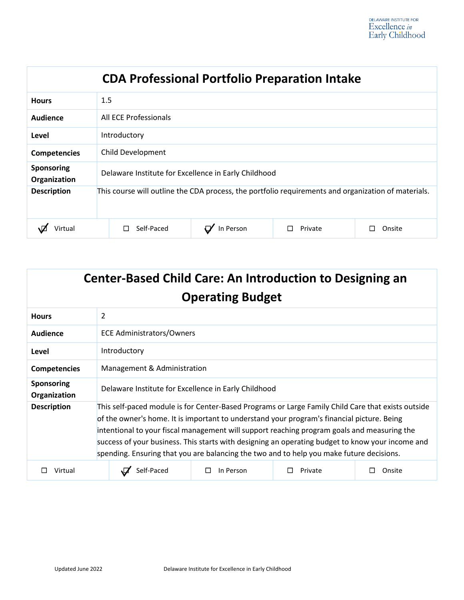| <b>CDA Professional Portfolio Preparation Intake</b> |                                                                                                     |           |         |        |
|------------------------------------------------------|-----------------------------------------------------------------------------------------------------|-----------|---------|--------|
| <b>Hours</b>                                         | 1.5                                                                                                 |           |         |        |
| Audience                                             | All ECE Professionals                                                                               |           |         |        |
| Level                                                | Introductory                                                                                        |           |         |        |
| <b>Competencies</b>                                  | Child Development                                                                                   |           |         |        |
| Sponsoring<br>Organization                           | Delaware Institute for Excellence in Early Childhood                                                |           |         |        |
| <b>Description</b>                                   | This course will outline the CDA process, the portfolio requirements and organization of materials. |           |         |        |
| Virtual                                              | Self-Paced                                                                                          | In Person | Private | Onsite |

| <b>Center-Based Child Care: An Introduction to Designing an</b><br><b>Operating Budget</b> |                                                                                                                                                                                                                                                                                                                                                                                                                                                                                                 |           |         |        |
|--------------------------------------------------------------------------------------------|-------------------------------------------------------------------------------------------------------------------------------------------------------------------------------------------------------------------------------------------------------------------------------------------------------------------------------------------------------------------------------------------------------------------------------------------------------------------------------------------------|-----------|---------|--------|
| <b>Hours</b>                                                                               | 2                                                                                                                                                                                                                                                                                                                                                                                                                                                                                               |           |         |        |
| <b>Audience</b>                                                                            | <b>ECE Administrators/Owners</b>                                                                                                                                                                                                                                                                                                                                                                                                                                                                |           |         |        |
| Level                                                                                      | Introductory                                                                                                                                                                                                                                                                                                                                                                                                                                                                                    |           |         |        |
| <b>Competencies</b>                                                                        | Management & Administration                                                                                                                                                                                                                                                                                                                                                                                                                                                                     |           |         |        |
| <b>Sponsoring</b><br>Organization                                                          | Delaware Institute for Excellence in Early Childhood                                                                                                                                                                                                                                                                                                                                                                                                                                            |           |         |        |
| <b>Description</b>                                                                         | This self-paced module is for Center-Based Programs or Large Family Child Care that exists outside<br>of the owner's home. It is important to understand your program's financial picture. Being<br>intentional to your fiscal management will support reaching program goals and measuring the<br>success of your business. This starts with designing an operating budget to know your income and<br>spending. Ensuring that you are balancing the two and to help you make future decisions. |           |         |        |
| Virtual                                                                                    | Self-Paced                                                                                                                                                                                                                                                                                                                                                                                                                                                                                      | In Person | Private | Onsite |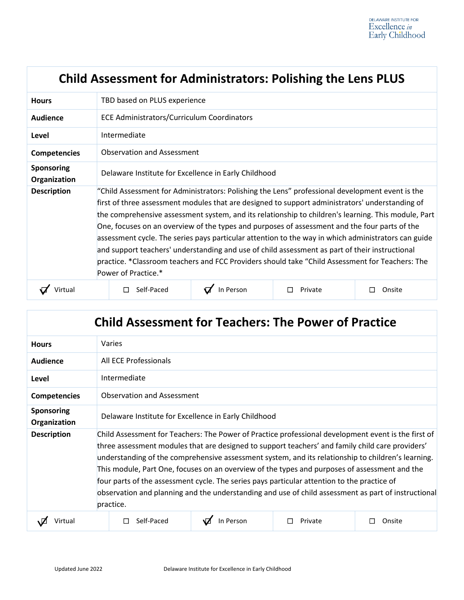|                                   | <b>Child Assessment for Administrators: Polishing the Lens PLUS</b>                                                                                                                                                                                                                                                                                                                                                                                                                                                                                                                                                                                                                                                                           |           |         |        |  |
|-----------------------------------|-----------------------------------------------------------------------------------------------------------------------------------------------------------------------------------------------------------------------------------------------------------------------------------------------------------------------------------------------------------------------------------------------------------------------------------------------------------------------------------------------------------------------------------------------------------------------------------------------------------------------------------------------------------------------------------------------------------------------------------------------|-----------|---------|--------|--|
| <b>Hours</b>                      | TBD based on PLUS experience                                                                                                                                                                                                                                                                                                                                                                                                                                                                                                                                                                                                                                                                                                                  |           |         |        |  |
| Audience                          | <b>ECE Administrators/Curriculum Coordinators</b>                                                                                                                                                                                                                                                                                                                                                                                                                                                                                                                                                                                                                                                                                             |           |         |        |  |
| Level                             | Intermediate                                                                                                                                                                                                                                                                                                                                                                                                                                                                                                                                                                                                                                                                                                                                  |           |         |        |  |
| <b>Competencies</b>               | Observation and Assessment                                                                                                                                                                                                                                                                                                                                                                                                                                                                                                                                                                                                                                                                                                                    |           |         |        |  |
| <b>Sponsoring</b><br>Organization | Delaware Institute for Excellence in Early Childhood                                                                                                                                                                                                                                                                                                                                                                                                                                                                                                                                                                                                                                                                                          |           |         |        |  |
| <b>Description</b>                | "Child Assessment for Administrators: Polishing the Lens" professional development event is the<br>first of three assessment modules that are designed to support administrators' understanding of<br>the comprehensive assessment system, and its relationship to children's learning. This module, Part<br>One, focuses on an overview of the types and purposes of assessment and the four parts of the<br>assessment cycle. The series pays particular attention to the way in which administrators can guide<br>and support teachers' understanding and use of child assessment as part of their instructional<br>practice. *Classroom teachers and FCC Providers should take "Child Assessment for Teachers: The<br>Power of Practice.* |           |         |        |  |
| Virtual                           | Self-Paced                                                                                                                                                                                                                                                                                                                                                                                                                                                                                                                                                                                                                                                                                                                                    | In Person | Private | Onsite |  |

| <b>Child Assessment for Teachers: The Power of Practice</b> |                                                                                                                                                                                                                                                                                                                                                                                                                                                                                                                                                                                                                                   |           |         |        |  |
|-------------------------------------------------------------|-----------------------------------------------------------------------------------------------------------------------------------------------------------------------------------------------------------------------------------------------------------------------------------------------------------------------------------------------------------------------------------------------------------------------------------------------------------------------------------------------------------------------------------------------------------------------------------------------------------------------------------|-----------|---------|--------|--|
| <b>Hours</b>                                                | Varies                                                                                                                                                                                                                                                                                                                                                                                                                                                                                                                                                                                                                            |           |         |        |  |
| Audience                                                    | All ECE Professionals                                                                                                                                                                                                                                                                                                                                                                                                                                                                                                                                                                                                             |           |         |        |  |
| Level                                                       | Intermediate                                                                                                                                                                                                                                                                                                                                                                                                                                                                                                                                                                                                                      |           |         |        |  |
| <b>Competencies</b>                                         | <b>Observation and Assessment</b>                                                                                                                                                                                                                                                                                                                                                                                                                                                                                                                                                                                                 |           |         |        |  |
| <b>Sponsoring</b><br>Organization                           | Delaware Institute for Excellence in Early Childhood                                                                                                                                                                                                                                                                                                                                                                                                                                                                                                                                                                              |           |         |        |  |
| <b>Description</b>                                          | Child Assessment for Teachers: The Power of Practice professional development event is the first of<br>three assessment modules that are designed to support teachers' and family child care providers'<br>understanding of the comprehensive assessment system, and its relationship to children's learning.<br>This module, Part One, focuses on an overview of the types and purposes of assessment and the<br>four parts of the assessment cycle. The series pays particular attention to the practice of<br>observation and planning and the understanding and use of child assessment as part of instructional<br>practice. |           |         |        |  |
| Virtual                                                     | Self-Paced                                                                                                                                                                                                                                                                                                                                                                                                                                                                                                                                                                                                                        | In Person | Private | Onsite |  |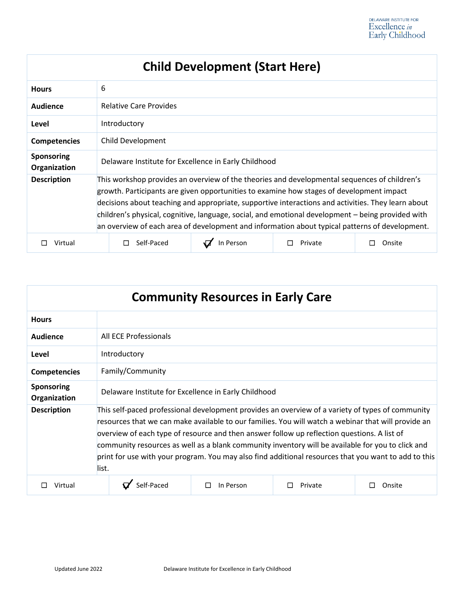# **Child Development (Start Here)**

| <b>Hours</b>                      | 6                                                                                                                                                                                                                                                                                                                                                                                                                                                                                                     |           |         |        |
|-----------------------------------|-------------------------------------------------------------------------------------------------------------------------------------------------------------------------------------------------------------------------------------------------------------------------------------------------------------------------------------------------------------------------------------------------------------------------------------------------------------------------------------------------------|-----------|---------|--------|
| Audience                          | <b>Relative Care Provides</b>                                                                                                                                                                                                                                                                                                                                                                                                                                                                         |           |         |        |
| Level                             | Introductory                                                                                                                                                                                                                                                                                                                                                                                                                                                                                          |           |         |        |
| <b>Competencies</b>               | Child Development                                                                                                                                                                                                                                                                                                                                                                                                                                                                                     |           |         |        |
| <b>Sponsoring</b><br>Organization | Delaware Institute for Excellence in Early Childhood                                                                                                                                                                                                                                                                                                                                                                                                                                                  |           |         |        |
| <b>Description</b>                | This workshop provides an overview of the theories and developmental sequences of children's<br>growth. Participants are given opportunities to examine how stages of development impact<br>decisions about teaching and appropriate, supportive interactions and activities. They learn about<br>children's physical, cognitive, language, social, and emotional development - being provided with<br>an overview of each area of development and information about typical patterns of development. |           |         |        |
| Virtual                           | Self-Paced                                                                                                                                                                                                                                                                                                                                                                                                                                                                                            | In Person | Private | Onsite |

| <b>Community Resources in Early Care</b> |                                                                                                                                                                                                                                                                                                                                                                                                                                                                                                                              |                     |         |        |
|------------------------------------------|------------------------------------------------------------------------------------------------------------------------------------------------------------------------------------------------------------------------------------------------------------------------------------------------------------------------------------------------------------------------------------------------------------------------------------------------------------------------------------------------------------------------------|---------------------|---------|--------|
| <b>Hours</b>                             |                                                                                                                                                                                                                                                                                                                                                                                                                                                                                                                              |                     |         |        |
| Audience                                 | All ECE Professionals                                                                                                                                                                                                                                                                                                                                                                                                                                                                                                        |                     |         |        |
| Level                                    | Introductory                                                                                                                                                                                                                                                                                                                                                                                                                                                                                                                 |                     |         |        |
| <b>Competencies</b>                      | Family/Community                                                                                                                                                                                                                                                                                                                                                                                                                                                                                                             |                     |         |        |
| Sponsoring<br>Organization               | Delaware Institute for Excellence in Early Childhood                                                                                                                                                                                                                                                                                                                                                                                                                                                                         |                     |         |        |
| <b>Description</b>                       | This self-paced professional development provides an overview of a variety of types of community<br>resources that we can make available to our families. You will watch a webinar that will provide an<br>overview of each type of resource and then answer follow up reflection questions. A list of<br>community resources as well as a blank community inventory will be available for you to click and<br>print for use with your program. You may also find additional resources that you want to add to this<br>list. |                     |         |        |
| Virtual                                  | Self-Paced                                                                                                                                                                                                                                                                                                                                                                                                                                                                                                                   | In Person<br>$\Box$ | Private | Onsite |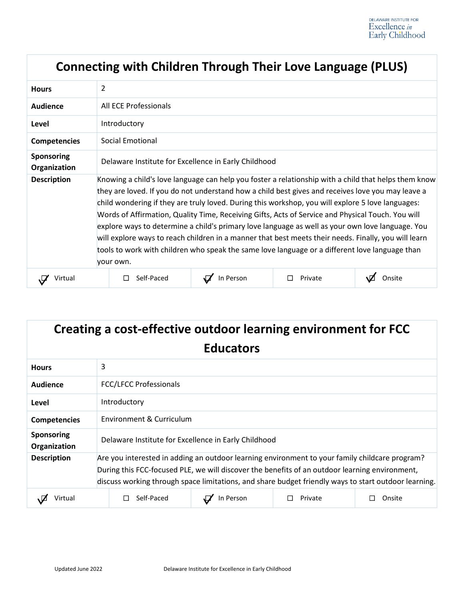|                                   | <b>Connecting with Children Through Their Love Language (PLUS)</b>                                                                                                                                                                                                                                                                                                                                                                                                                                                                                                                                                                                                                                                                             |           |         |        |  |  |
|-----------------------------------|------------------------------------------------------------------------------------------------------------------------------------------------------------------------------------------------------------------------------------------------------------------------------------------------------------------------------------------------------------------------------------------------------------------------------------------------------------------------------------------------------------------------------------------------------------------------------------------------------------------------------------------------------------------------------------------------------------------------------------------------|-----------|---------|--------|--|--|
| <b>Hours</b>                      | 2                                                                                                                                                                                                                                                                                                                                                                                                                                                                                                                                                                                                                                                                                                                                              |           |         |        |  |  |
| <b>Audience</b>                   | All ECE Professionals                                                                                                                                                                                                                                                                                                                                                                                                                                                                                                                                                                                                                                                                                                                          |           |         |        |  |  |
| Level                             | Introductory                                                                                                                                                                                                                                                                                                                                                                                                                                                                                                                                                                                                                                                                                                                                   |           |         |        |  |  |
| <b>Competencies</b>               | Social Emotional                                                                                                                                                                                                                                                                                                                                                                                                                                                                                                                                                                                                                                                                                                                               |           |         |        |  |  |
| <b>Sponsoring</b><br>Organization | Delaware Institute for Excellence in Early Childhood                                                                                                                                                                                                                                                                                                                                                                                                                                                                                                                                                                                                                                                                                           |           |         |        |  |  |
| <b>Description</b>                | Knowing a child's love language can help you foster a relationship with a child that helps them know<br>they are loved. If you do not understand how a child best gives and receives love you may leave a<br>child wondering if they are truly loved. During this workshop, you will explore 5 love languages:<br>Words of Affirmation, Quality Time, Receiving Gifts, Acts of Service and Physical Touch. You will<br>explore ways to determine a child's primary love language as well as your own love language. You<br>will explore ways to reach children in a manner that best meets their needs. Finally, you will learn<br>tools to work with children who speak the same love language or a different love language than<br>your own. |           |         |        |  |  |
| Virtual                           | Self-Paced                                                                                                                                                                                                                                                                                                                                                                                                                                                                                                                                                                                                                                                                                                                                     | In Person | Private | Onsite |  |  |

| Creating a cost-effective outdoor learning environment for FCC |                                                                                                                                                                                                                                                                                                          |  |  |  |  |
|----------------------------------------------------------------|----------------------------------------------------------------------------------------------------------------------------------------------------------------------------------------------------------------------------------------------------------------------------------------------------------|--|--|--|--|
|                                                                | <b>Educators</b>                                                                                                                                                                                                                                                                                         |  |  |  |  |
| <b>Hours</b>                                                   | 3                                                                                                                                                                                                                                                                                                        |  |  |  |  |
| Audience                                                       | <b>FCC/LFCC Professionals</b>                                                                                                                                                                                                                                                                            |  |  |  |  |
| Level                                                          | Introductory                                                                                                                                                                                                                                                                                             |  |  |  |  |
| <b>Competencies</b>                                            | Environment & Curriculum                                                                                                                                                                                                                                                                                 |  |  |  |  |
| <b>Sponsoring</b><br>Organization                              | Delaware Institute for Excellence in Early Childhood                                                                                                                                                                                                                                                     |  |  |  |  |
| <b>Description</b>                                             | Are you interested in adding an outdoor learning environment to your family childcare program?<br>During this FCC-focused PLE, we will discover the benefits of an outdoor learning environment,<br>discuss working through space limitations, and share budget friendly ways to start outdoor learning. |  |  |  |  |
| Virtual                                                        | Self-Paced<br>In Person<br>Private<br>Onsite                                                                                                                                                                                                                                                             |  |  |  |  |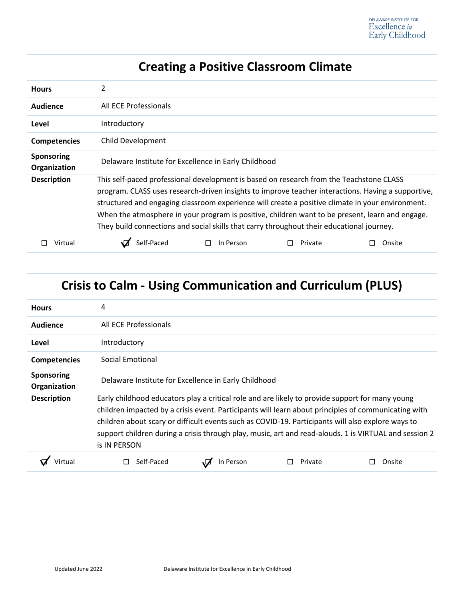| <b>Creating a Positive Classroom Climate</b> |                                                                                                                                                                                                                                                                                                                                                                                                                                                                                                   |           |         |        |
|----------------------------------------------|---------------------------------------------------------------------------------------------------------------------------------------------------------------------------------------------------------------------------------------------------------------------------------------------------------------------------------------------------------------------------------------------------------------------------------------------------------------------------------------------------|-----------|---------|--------|
| <b>Hours</b>                                 | 2                                                                                                                                                                                                                                                                                                                                                                                                                                                                                                 |           |         |        |
| Audience                                     | All ECE Professionals                                                                                                                                                                                                                                                                                                                                                                                                                                                                             |           |         |        |
| Level                                        | Introductory                                                                                                                                                                                                                                                                                                                                                                                                                                                                                      |           |         |        |
| <b>Competencies</b>                          | Child Development                                                                                                                                                                                                                                                                                                                                                                                                                                                                                 |           |         |        |
| <b>Sponsoring</b><br>Organization            | Delaware Institute for Excellence in Early Childhood                                                                                                                                                                                                                                                                                                                                                                                                                                              |           |         |        |
| <b>Description</b>                           | This self-paced professional development is based on research from the Teachstone CLASS<br>program. CLASS uses research-driven insights to improve teacher interactions. Having a supportive,<br>structured and engaging classroom experience will create a positive climate in your environment.<br>When the atmosphere in your program is positive, children want to be present, learn and engage.<br>They build connections and social skills that carry throughout their educational journey. |           |         |        |
| Virtual                                      | Self-Paced                                                                                                                                                                                                                                                                                                                                                                                                                                                                                        | In Person | Private | Onsite |

|                                   | <b>Crisis to Calm - Using Communication and Curriculum (PLUS)</b>                                                                                                                                                                                                                                                                                                                                                                           |           |         |        |
|-----------------------------------|---------------------------------------------------------------------------------------------------------------------------------------------------------------------------------------------------------------------------------------------------------------------------------------------------------------------------------------------------------------------------------------------------------------------------------------------|-----------|---------|--------|
| <b>Hours</b>                      | 4                                                                                                                                                                                                                                                                                                                                                                                                                                           |           |         |        |
| Audience                          | All ECE Professionals                                                                                                                                                                                                                                                                                                                                                                                                                       |           |         |        |
| Level                             | Introductory                                                                                                                                                                                                                                                                                                                                                                                                                                |           |         |        |
| <b>Competencies</b>               | Social Emotional                                                                                                                                                                                                                                                                                                                                                                                                                            |           |         |        |
| <b>Sponsoring</b><br>Organization | Delaware Institute for Excellence in Early Childhood                                                                                                                                                                                                                                                                                                                                                                                        |           |         |        |
| <b>Description</b>                | Early childhood educators play a critical role and are likely to provide support for many young<br>children impacted by a crisis event. Participants will learn about principles of communicating with<br>children about scary or difficult events such as COVID-19. Participants will also explore ways to<br>support children during a crisis through play, music, art and read-alouds. 1 is VIRTUAL and session 2<br><b>is IN PERSON</b> |           |         |        |
| Virtual                           | Self-Paced                                                                                                                                                                                                                                                                                                                                                                                                                                  | In Person | Private | Onsite |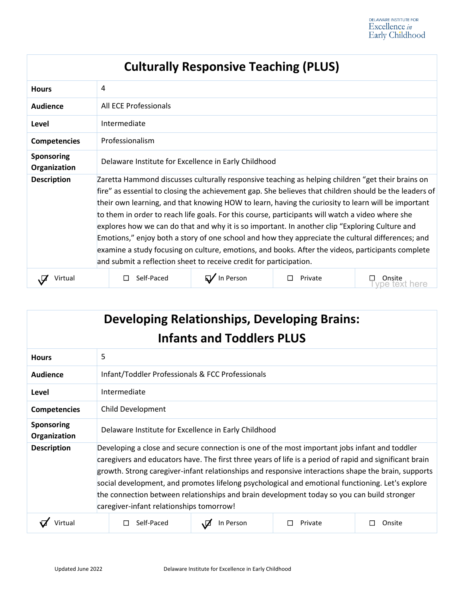| <b>Culturally Responsive Teaching (PLUS)</b> |                                                                                                                                                                                                                                                                                                                                                                                                                                                                                                                                                                                                                                                                                                                                                                                                         |           |         |                     |
|----------------------------------------------|---------------------------------------------------------------------------------------------------------------------------------------------------------------------------------------------------------------------------------------------------------------------------------------------------------------------------------------------------------------------------------------------------------------------------------------------------------------------------------------------------------------------------------------------------------------------------------------------------------------------------------------------------------------------------------------------------------------------------------------------------------------------------------------------------------|-----------|---------|---------------------|
| <b>Hours</b>                                 | 4                                                                                                                                                                                                                                                                                                                                                                                                                                                                                                                                                                                                                                                                                                                                                                                                       |           |         |                     |
| <b>Audience</b>                              | All ECE Professionals                                                                                                                                                                                                                                                                                                                                                                                                                                                                                                                                                                                                                                                                                                                                                                                   |           |         |                     |
| Level                                        | Intermediate                                                                                                                                                                                                                                                                                                                                                                                                                                                                                                                                                                                                                                                                                                                                                                                            |           |         |                     |
| <b>Competencies</b>                          | Professionalism                                                                                                                                                                                                                                                                                                                                                                                                                                                                                                                                                                                                                                                                                                                                                                                         |           |         |                     |
| <b>Sponsoring</b><br>Organization            | Delaware Institute for Excellence in Early Childhood                                                                                                                                                                                                                                                                                                                                                                                                                                                                                                                                                                                                                                                                                                                                                    |           |         |                     |
| <b>Description</b>                           | Zaretta Hammond discusses culturally responsive teaching as helping children "get their brains on<br>fire" as essential to closing the achievement gap. She believes that children should be the leaders of<br>their own learning, and that knowing HOW to learn, having the curiosity to learn will be important<br>to them in order to reach life goals. For this course, participants will watch a video where she<br>explores how we can do that and why it is so important. In another clip "Exploring Culture and<br>Emotions," enjoy both a story of one school and how they appreciate the cultural differences; and<br>examine a study focusing on culture, emotions, and books. After the videos, participants complete<br>and submit a reflection sheet to receive credit for participation. |           |         |                     |
| Virtual                                      | Self-Paced                                                                                                                                                                                                                                                                                                                                                                                                                                                                                                                                                                                                                                                                                                                                                                                              | In Person | Private | Onsite<br>iext here |

| <b>Developing Relationships, Developing Brains:</b><br><b>Infants and Toddlers PLUS</b> |                                                                                                                                                                                                                                                                                                                                                                                                                                                                                                                                                               |                                                  |         |        |
|-----------------------------------------------------------------------------------------|---------------------------------------------------------------------------------------------------------------------------------------------------------------------------------------------------------------------------------------------------------------------------------------------------------------------------------------------------------------------------------------------------------------------------------------------------------------------------------------------------------------------------------------------------------------|--------------------------------------------------|---------|--------|
| <b>Hours</b>                                                                            | 5                                                                                                                                                                                                                                                                                                                                                                                                                                                                                                                                                             |                                                  |         |        |
| Audience                                                                                |                                                                                                                                                                                                                                                                                                                                                                                                                                                                                                                                                               | Infant/Toddler Professionals & FCC Professionals |         |        |
| Level                                                                                   | Intermediate                                                                                                                                                                                                                                                                                                                                                                                                                                                                                                                                                  |                                                  |         |        |
| <b>Competencies</b>                                                                     | Child Development                                                                                                                                                                                                                                                                                                                                                                                                                                                                                                                                             |                                                  |         |        |
| <b>Sponsoring</b><br>Organization                                                       | Delaware Institute for Excellence in Early Childhood                                                                                                                                                                                                                                                                                                                                                                                                                                                                                                          |                                                  |         |        |
| <b>Description</b>                                                                      | Developing a close and secure connection is one of the most important jobs infant and toddler<br>caregivers and educators have. The first three years of life is a period of rapid and significant brain<br>growth. Strong caregiver-infant relationships and responsive interactions shape the brain, supports<br>social development, and promotes lifelong psychological and emotional functioning. Let's explore<br>the connection between relationships and brain development today so you can build stronger<br>caregiver-infant relationships tomorrow! |                                                  |         |        |
| Virtua                                                                                  | Self-Paced                                                                                                                                                                                                                                                                                                                                                                                                                                                                                                                                                    | In Person                                        | Private | Onsite |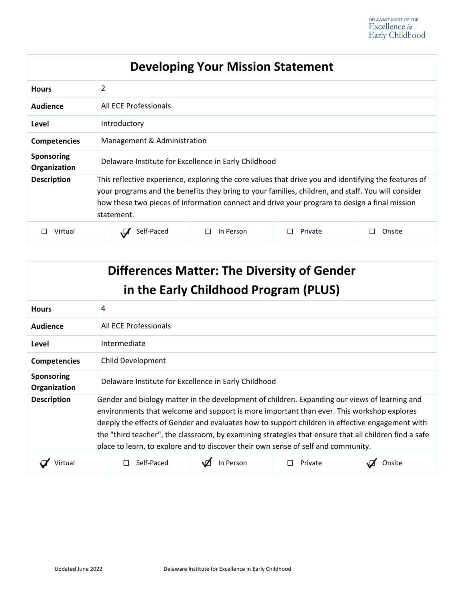| <b>Developing Your Mission Statement</b> |                                                                                                                                                                                                                                                                                                                          |                |         |        |
|------------------------------------------|--------------------------------------------------------------------------------------------------------------------------------------------------------------------------------------------------------------------------------------------------------------------------------------------------------------------------|----------------|---------|--------|
| <b>Hours</b>                             | 2                                                                                                                                                                                                                                                                                                                        |                |         |        |
| Audience                                 | All ECE Professionals                                                                                                                                                                                                                                                                                                    |                |         |        |
| Level                                    | Introductory                                                                                                                                                                                                                                                                                                             |                |         |        |
| <b>Competencies</b>                      | Management & Administration                                                                                                                                                                                                                                                                                              |                |         |        |
| <b>Sponsoring</b><br>Organization        | Delaware Institute for Excellence in Early Childhood                                                                                                                                                                                                                                                                     |                |         |        |
| <b>Description</b>                       | This reflective experience, exploring the core values that drive you and identifying the features of<br>your programs and the benefits they bring to your families, children, and staff. You will consider<br>how these two pieces of information connect and drive your program to design a final mission<br>statement. |                |         |        |
| Virtual                                  | Self-Paced                                                                                                                                                                                                                                                                                                               | In Person<br>П | Private | Onsite |

| <b>Differences Matter: The Diversity of Gender</b><br>in the Early Childhood Program (PLUS) |                                                                                                                                                                                                                                                                                                                                                                                                                                                                                             |           |         |        |  |
|---------------------------------------------------------------------------------------------|---------------------------------------------------------------------------------------------------------------------------------------------------------------------------------------------------------------------------------------------------------------------------------------------------------------------------------------------------------------------------------------------------------------------------------------------------------------------------------------------|-----------|---------|--------|--|
| <b>Hours</b>                                                                                | 4                                                                                                                                                                                                                                                                                                                                                                                                                                                                                           |           |         |        |  |
| Audience                                                                                    | All ECE Professionals                                                                                                                                                                                                                                                                                                                                                                                                                                                                       |           |         |        |  |
| Level                                                                                       | Intermediate                                                                                                                                                                                                                                                                                                                                                                                                                                                                                |           |         |        |  |
| <b>Competencies</b>                                                                         | Child Development                                                                                                                                                                                                                                                                                                                                                                                                                                                                           |           |         |        |  |
| <b>Sponsoring</b><br>Organization                                                           | Delaware Institute for Excellence in Early Childhood                                                                                                                                                                                                                                                                                                                                                                                                                                        |           |         |        |  |
| <b>Description</b>                                                                          | Gender and biology matter in the development of children. Expanding our views of learning and<br>environments that welcome and support is more important than ever. This workshop explores<br>deeply the effects of Gender and evaluates how to support children in effective engagement with<br>the "third teacher", the classroom, by examining strategies that ensure that all children find a safe<br>place to learn, to explore and to discover their own sense of self and community. |           |         |        |  |
| Virtual                                                                                     | Self-Paced                                                                                                                                                                                                                                                                                                                                                                                                                                                                                  | In Person | Private | Onsite |  |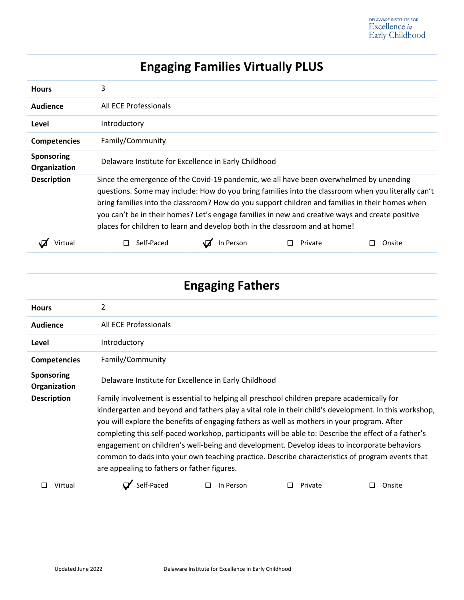# **Engaging Families Virtually PLUS**

| <b>Hours</b>                      | 3                                                                                                                                                                                                                                                                                                                                                                                                                                                                                 |           |         |        |
|-----------------------------------|-----------------------------------------------------------------------------------------------------------------------------------------------------------------------------------------------------------------------------------------------------------------------------------------------------------------------------------------------------------------------------------------------------------------------------------------------------------------------------------|-----------|---------|--------|
| Audience                          | All ECE Professionals                                                                                                                                                                                                                                                                                                                                                                                                                                                             |           |         |        |
| Level                             | Introductory                                                                                                                                                                                                                                                                                                                                                                                                                                                                      |           |         |        |
| <b>Competencies</b>               | Family/Community                                                                                                                                                                                                                                                                                                                                                                                                                                                                  |           |         |        |
| <b>Sponsoring</b><br>Organization | Delaware Institute for Excellence in Early Childhood                                                                                                                                                                                                                                                                                                                                                                                                                              |           |         |        |
| <b>Description</b>                | Since the emergence of the Covid-19 pandemic, we all have been overwhelmed by unending<br>questions. Some may include: How do you bring families into the classroom when you literally can't<br>bring families into the classroom? How do you support children and families in their homes when<br>you can't be in their homes? Let's engage families in new and creative ways and create positive<br>places for children to learn and develop both in the classroom and at home! |           |         |        |
| Virtual                           | Self-Paced                                                                                                                                                                                                                                                                                                                                                                                                                                                                        | In Person | Private | Onsite |

| <b>Engaging Fathers</b>    |                                                                                                                                                                                                                                                                                                                                                                                                                                                                                                                                                                                                                                                             |                |         |        |
|----------------------------|-------------------------------------------------------------------------------------------------------------------------------------------------------------------------------------------------------------------------------------------------------------------------------------------------------------------------------------------------------------------------------------------------------------------------------------------------------------------------------------------------------------------------------------------------------------------------------------------------------------------------------------------------------------|----------------|---------|--------|
| <b>Hours</b>               | $\overline{2}$                                                                                                                                                                                                                                                                                                                                                                                                                                                                                                                                                                                                                                              |                |         |        |
| Audience                   | All ECE Professionals                                                                                                                                                                                                                                                                                                                                                                                                                                                                                                                                                                                                                                       |                |         |        |
| Level                      | Introductory                                                                                                                                                                                                                                                                                                                                                                                                                                                                                                                                                                                                                                                |                |         |        |
| <b>Competencies</b>        | Family/Community                                                                                                                                                                                                                                                                                                                                                                                                                                                                                                                                                                                                                                            |                |         |        |
| Sponsoring<br>Organization | Delaware Institute for Excellence in Early Childhood                                                                                                                                                                                                                                                                                                                                                                                                                                                                                                                                                                                                        |                |         |        |
| <b>Description</b>         | Family involvement is essential to helping all preschool children prepare academically for<br>kindergarten and beyond and fathers play a vital role in their child's development. In this workshop,<br>you will explore the benefits of engaging fathers as well as mothers in your program. After<br>completing this self-paced workshop, participants will be able to: Describe the effect of a father's<br>engagement on children's well-being and development. Develop ideas to incorporate behaviors<br>common to dads into your own teaching practice. Describe characteristics of program events that<br>are appealing to fathers or father figures. |                |         |        |
| Virtual                    | Self-Paced                                                                                                                                                                                                                                                                                                                                                                                                                                                                                                                                                                                                                                                  | In Person<br>П | Private | Onsite |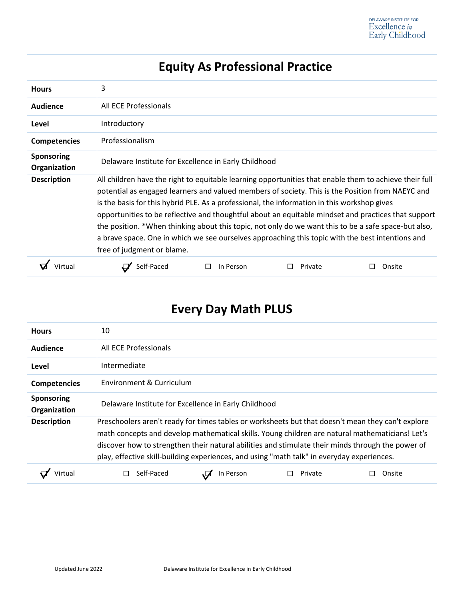|                                   |                                                                                                                                                                                                                                                                                                                                                                                                                                                                                                                                                                                                                                                            | Equity AS Professional Practice |         |        |
|-----------------------------------|------------------------------------------------------------------------------------------------------------------------------------------------------------------------------------------------------------------------------------------------------------------------------------------------------------------------------------------------------------------------------------------------------------------------------------------------------------------------------------------------------------------------------------------------------------------------------------------------------------------------------------------------------------|---------------------------------|---------|--------|
| <b>Hours</b>                      | 3                                                                                                                                                                                                                                                                                                                                                                                                                                                                                                                                                                                                                                                          |                                 |         |        |
| <b>Audience</b>                   | All ECE Professionals                                                                                                                                                                                                                                                                                                                                                                                                                                                                                                                                                                                                                                      |                                 |         |        |
| Level                             | Introductory                                                                                                                                                                                                                                                                                                                                                                                                                                                                                                                                                                                                                                               |                                 |         |        |
| <b>Competencies</b>               | Professionalism                                                                                                                                                                                                                                                                                                                                                                                                                                                                                                                                                                                                                                            |                                 |         |        |
| <b>Sponsoring</b><br>Organization | Delaware Institute for Excellence in Early Childhood                                                                                                                                                                                                                                                                                                                                                                                                                                                                                                                                                                                                       |                                 |         |        |
| <b>Description</b>                | All children have the right to equitable learning opportunities that enable them to achieve their full<br>potential as engaged learners and valued members of society. This is the Position from NAEYC and<br>is the basis for this hybrid PLE. As a professional, the information in this workshop gives<br>opportunities to be reflective and thoughtful about an equitable mindset and practices that support<br>the position. *When thinking about this topic, not only do we want this to be a safe space-but also,<br>a brave space. One in which we see ourselves approaching this topic with the best intentions and<br>free of judgment or blame. |                                 |         |        |
| Virtual                           | Self-Paced                                                                                                                                                                                                                                                                                                                                                                                                                                                                                                                                                                                                                                                 | In Person<br>$\Box$             | Private | Onsite |

| <b>Every Day Math PLUS</b>        |                                                                                                                                                                                                                                                                                                                                                                                                         |           |         |        |
|-----------------------------------|---------------------------------------------------------------------------------------------------------------------------------------------------------------------------------------------------------------------------------------------------------------------------------------------------------------------------------------------------------------------------------------------------------|-----------|---------|--------|
| <b>Hours</b>                      | 10                                                                                                                                                                                                                                                                                                                                                                                                      |           |         |        |
| <b>Audience</b>                   | All ECE Professionals                                                                                                                                                                                                                                                                                                                                                                                   |           |         |        |
| Level                             | Intermediate                                                                                                                                                                                                                                                                                                                                                                                            |           |         |        |
| <b>Competencies</b>               | Environment & Curriculum                                                                                                                                                                                                                                                                                                                                                                                |           |         |        |
| <b>Sponsoring</b><br>Organization | Delaware Institute for Excellence in Early Childhood                                                                                                                                                                                                                                                                                                                                                    |           |         |        |
| <b>Description</b>                | Preschoolers aren't ready for times tables or worksheets but that doesn't mean they can't explore<br>math concepts and develop mathematical skills. Young children are natural mathematicians! Let's<br>discover how to strengthen their natural abilities and stimulate their minds through the power of<br>play, effective skill-building experiences, and using "math talk" in everyday experiences. |           |         |        |
| Virtual                           | Self-Paced                                                                                                                                                                                                                                                                                                                                                                                              | In Person | Private | Onsite |

#### **Equity As Professional Practice**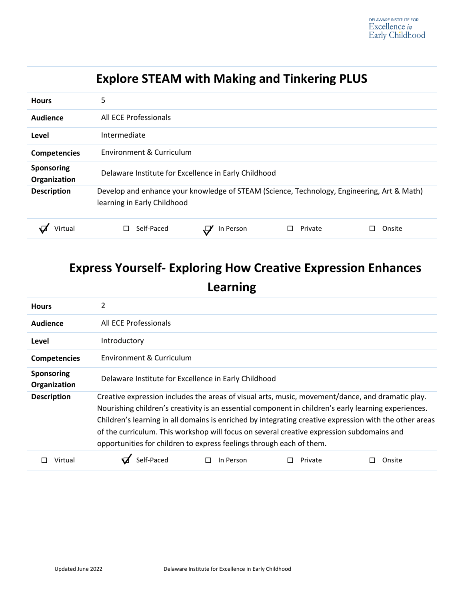| <b>Explore STEAM with Making and Tinkering PLUS</b> |                                                                                                                           |           |         |        |
|-----------------------------------------------------|---------------------------------------------------------------------------------------------------------------------------|-----------|---------|--------|
| <b>Hours</b>                                        | 5                                                                                                                         |           |         |        |
| Audience                                            | All ECE Professionals                                                                                                     |           |         |        |
| Level                                               | Intermediate                                                                                                              |           |         |        |
| <b>Competencies</b>                                 | Environment & Curriculum                                                                                                  |           |         |        |
| Sponsoring<br>Organization                          | Delaware Institute for Excellence in Early Childhood                                                                      |           |         |        |
| <b>Description</b>                                  | Develop and enhance your knowledge of STEAM (Science, Technology, Engineering, Art & Math)<br>learning in Early Childhood |           |         |        |
| Virtual                                             | Self-Paced<br>ΙI                                                                                                          | In Person | Private | Onsite |

| <b>Express Yourself- Exploring How Creative Expression Enhances</b><br>Learning |                                                                                                                                                                                                                                                                                                                                                                                                                                                                                         |           |         |        |
|---------------------------------------------------------------------------------|-----------------------------------------------------------------------------------------------------------------------------------------------------------------------------------------------------------------------------------------------------------------------------------------------------------------------------------------------------------------------------------------------------------------------------------------------------------------------------------------|-----------|---------|--------|
|                                                                                 |                                                                                                                                                                                                                                                                                                                                                                                                                                                                                         |           |         |        |
| <b>Hours</b>                                                                    | 2                                                                                                                                                                                                                                                                                                                                                                                                                                                                                       |           |         |        |
| Audience                                                                        | All ECE Professionals                                                                                                                                                                                                                                                                                                                                                                                                                                                                   |           |         |        |
| Level                                                                           | Introductory                                                                                                                                                                                                                                                                                                                                                                                                                                                                            |           |         |        |
| <b>Competencies</b>                                                             | Environment & Curriculum                                                                                                                                                                                                                                                                                                                                                                                                                                                                |           |         |        |
| <b>Sponsoring</b><br>Organization                                               | Delaware Institute for Excellence in Early Childhood                                                                                                                                                                                                                                                                                                                                                                                                                                    |           |         |        |
| <b>Description</b>                                                              | Creative expression includes the areas of visual arts, music, movement/dance, and dramatic play.<br>Nourishing children's creativity is an essential component in children's early learning experiences.<br>Children's learning in all domains is enriched by integrating creative expression with the other areas<br>of the curriculum. This workshop will focus on several creative expression subdomains and<br>opportunities for children to express feelings through each of them. |           |         |        |
| Virtual                                                                         | Self-Paced                                                                                                                                                                                                                                                                                                                                                                                                                                                                              | In Person | Private | Onsite |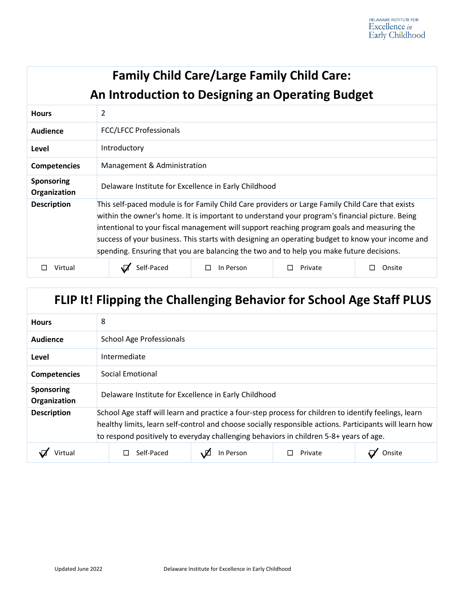| <b>Family Child Care/Large Family Child Care:</b><br>An Introduction to Designing an Operating Budget |                                                                                                                                                                                                                                                                                                                                                                                                                                                                                                   |           |         |        |
|-------------------------------------------------------------------------------------------------------|---------------------------------------------------------------------------------------------------------------------------------------------------------------------------------------------------------------------------------------------------------------------------------------------------------------------------------------------------------------------------------------------------------------------------------------------------------------------------------------------------|-----------|---------|--------|
| <b>Hours</b>                                                                                          | 2                                                                                                                                                                                                                                                                                                                                                                                                                                                                                                 |           |         |        |
| Audience                                                                                              | <b>FCC/LFCC Professionals</b>                                                                                                                                                                                                                                                                                                                                                                                                                                                                     |           |         |        |
| Level                                                                                                 | Introductory                                                                                                                                                                                                                                                                                                                                                                                                                                                                                      |           |         |        |
| <b>Competencies</b>                                                                                   | Management & Administration                                                                                                                                                                                                                                                                                                                                                                                                                                                                       |           |         |        |
| <b>Sponsoring</b><br>Organization                                                                     | Delaware Institute for Excellence in Early Childhood                                                                                                                                                                                                                                                                                                                                                                                                                                              |           |         |        |
| <b>Description</b>                                                                                    | This self-paced module is for Family Child Care providers or Large Family Child Care that exists<br>within the owner's home. It is important to understand your program's financial picture. Being<br>intentional to your fiscal management will support reaching program goals and measuring the<br>success of your business. This starts with designing an operating budget to know your income and<br>spending. Ensuring that you are balancing the two and to help you make future decisions. |           |         |        |
| Virtual                                                                                               | Self-Paced                                                                                                                                                                                                                                                                                                                                                                                                                                                                                        | In Person | Private | Onsite |

# **FLIP It! Flipping the Challenging Behavior for School Age Staff PLUS**

| <b>Hours</b>                      | 8                                                                                                                                                                                                                                                                                                          |  |  |  |
|-----------------------------------|------------------------------------------------------------------------------------------------------------------------------------------------------------------------------------------------------------------------------------------------------------------------------------------------------------|--|--|--|
| <b>Audience</b>                   | <b>School Age Professionals</b>                                                                                                                                                                                                                                                                            |  |  |  |
| Level                             | Intermediate                                                                                                                                                                                                                                                                                               |  |  |  |
| <b>Competencies</b>               | Social Emotional                                                                                                                                                                                                                                                                                           |  |  |  |
| <b>Sponsoring</b><br>Organization | Delaware Institute for Excellence in Early Childhood                                                                                                                                                                                                                                                       |  |  |  |
| <b>Description</b>                | School Age staff will learn and practice a four-step process for children to identify feelings, learn<br>healthy limits, learn self-control and choose socially responsible actions. Participants will learn how<br>to respond positively to everyday challenging behaviors in children 5-8+ years of age. |  |  |  |
|                                   | Self-Paced<br>In Person<br>Private<br>Onsite                                                                                                                                                                                                                                                               |  |  |  |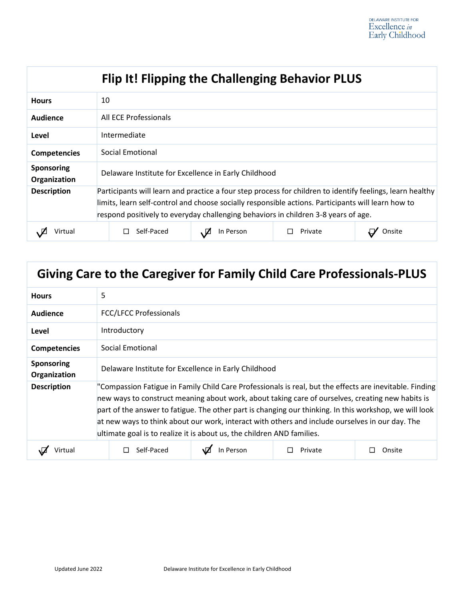|                                   | Flip It! Flipping the Challenging Behavior PLUS                                                                                                                                                                                                                                                       |           |         |        |
|-----------------------------------|-------------------------------------------------------------------------------------------------------------------------------------------------------------------------------------------------------------------------------------------------------------------------------------------------------|-----------|---------|--------|
| <b>Hours</b>                      | 10                                                                                                                                                                                                                                                                                                    |           |         |        |
| Audience                          | All ECE Professionals                                                                                                                                                                                                                                                                                 |           |         |        |
| Level                             | Intermediate                                                                                                                                                                                                                                                                                          |           |         |        |
| <b>Competencies</b>               | Social Emotional                                                                                                                                                                                                                                                                                      |           |         |        |
| <b>Sponsoring</b><br>Organization | Delaware Institute for Excellence in Early Childhood                                                                                                                                                                                                                                                  |           |         |        |
| <b>Description</b>                | Participants will learn and practice a four step process for children to identify feelings, learn healthy<br>limits, learn self-control and choose socially responsible actions. Participants will learn how to<br>respond positively to everyday challenging behaviors in children 3-8 years of age. |           |         |        |
| Virtual                           | Self-Paced                                                                                                                                                                                                                                                                                            | In Person | Private | Onsite |

# **Giving Care to the Caregiver for Family Child Care Professionals-PLUS**

| <b>Hours</b>                      | 5                                                                                                                                                                                                                                                                                                                                                                                                                                                                                                  |           |         |        |
|-----------------------------------|----------------------------------------------------------------------------------------------------------------------------------------------------------------------------------------------------------------------------------------------------------------------------------------------------------------------------------------------------------------------------------------------------------------------------------------------------------------------------------------------------|-----------|---------|--------|
| Audience                          | <b>FCC/LFCC Professionals</b>                                                                                                                                                                                                                                                                                                                                                                                                                                                                      |           |         |        |
| Level                             | Introductory                                                                                                                                                                                                                                                                                                                                                                                                                                                                                       |           |         |        |
| <b>Competencies</b>               | Social Emotional                                                                                                                                                                                                                                                                                                                                                                                                                                                                                   |           |         |        |
| <b>Sponsoring</b><br>Organization | Delaware Institute for Excellence in Early Childhood                                                                                                                                                                                                                                                                                                                                                                                                                                               |           |         |        |
| <b>Description</b>                | "Compassion Fatigue in Family Child Care Professionals is real, but the effects are inevitable. Finding<br>new ways to construct meaning about work, about taking care of ourselves, creating new habits is<br>part of the answer to fatigue. The other part is changing our thinking. In this workshop, we will look<br>at new ways to think about our work, interact with others and include ourselves in our day. The<br>ultimate goal is to realize it is about us, the children AND families. |           |         |        |
|                                   | Self-Paced                                                                                                                                                                                                                                                                                                                                                                                                                                                                                         | In Person | Private | Onsite |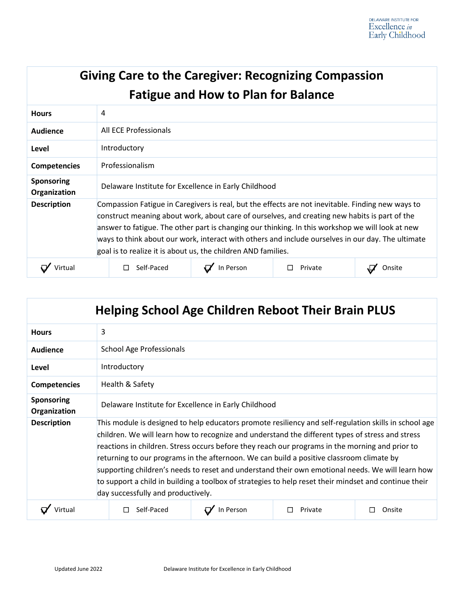| <b>Giving Care to the Caregiver: Recognizing Compassion</b><br><b>Fatigue and How to Plan for Balance</b> |                                                                                                                                                                                                                                                                                                                                                                                                                                                                              |           |         |        |  |
|-----------------------------------------------------------------------------------------------------------|------------------------------------------------------------------------------------------------------------------------------------------------------------------------------------------------------------------------------------------------------------------------------------------------------------------------------------------------------------------------------------------------------------------------------------------------------------------------------|-----------|---------|--------|--|
| <b>Hours</b>                                                                                              | 4                                                                                                                                                                                                                                                                                                                                                                                                                                                                            |           |         |        |  |
| <b>Audience</b>                                                                                           | All ECE Professionals                                                                                                                                                                                                                                                                                                                                                                                                                                                        |           |         |        |  |
| Level                                                                                                     | Introductory                                                                                                                                                                                                                                                                                                                                                                                                                                                                 |           |         |        |  |
| <b>Competencies</b>                                                                                       | Professionalism                                                                                                                                                                                                                                                                                                                                                                                                                                                              |           |         |        |  |
| <b>Sponsoring</b><br>Organization                                                                         | Delaware Institute for Excellence in Early Childhood                                                                                                                                                                                                                                                                                                                                                                                                                         |           |         |        |  |
| <b>Description</b>                                                                                        | Compassion Fatigue in Caregivers is real, but the effects are not inevitable. Finding new ways to<br>construct meaning about work, about care of ourselves, and creating new habits is part of the<br>answer to fatigue. The other part is changing our thinking. In this workshop we will look at new<br>ways to think about our work, interact with others and include ourselves in our day. The ultimate<br>goal is to realize it is about us, the children AND families. |           |         |        |  |
| Virtua                                                                                                    | Self-Paced<br>П                                                                                                                                                                                                                                                                                                                                                                                                                                                              | In Person | Private | Onsite |  |

| <b>Helping School Age Children Reboot Their Brain PLUS</b> |                                                                                                                                                                                                                                                                                                                                                                                                                                                                                                                                                                                                                                                             |           |         |        |  |  |
|------------------------------------------------------------|-------------------------------------------------------------------------------------------------------------------------------------------------------------------------------------------------------------------------------------------------------------------------------------------------------------------------------------------------------------------------------------------------------------------------------------------------------------------------------------------------------------------------------------------------------------------------------------------------------------------------------------------------------------|-----------|---------|--------|--|--|
| <b>Hours</b>                                               | 3                                                                                                                                                                                                                                                                                                                                                                                                                                                                                                                                                                                                                                                           |           |         |        |  |  |
| <b>Audience</b>                                            | <b>School Age Professionals</b>                                                                                                                                                                                                                                                                                                                                                                                                                                                                                                                                                                                                                             |           |         |        |  |  |
| Level                                                      | Introductory                                                                                                                                                                                                                                                                                                                                                                                                                                                                                                                                                                                                                                                |           |         |        |  |  |
| <b>Competencies</b>                                        | Health & Safety                                                                                                                                                                                                                                                                                                                                                                                                                                                                                                                                                                                                                                             |           |         |        |  |  |
| <b>Sponsoring</b><br>Organization                          | Delaware Institute for Excellence in Early Childhood                                                                                                                                                                                                                                                                                                                                                                                                                                                                                                                                                                                                        |           |         |        |  |  |
| <b>Description</b>                                         | This module is designed to help educators promote resiliency and self-regulation skills in school age<br>children. We will learn how to recognize and understand the different types of stress and stress<br>reactions in children. Stress occurs before they reach our programs in the morning and prior to<br>returning to our programs in the afternoon. We can build a positive classroom climate by<br>supporting children's needs to reset and understand their own emotional needs. We will learn how<br>to support a child in building a toolbox of strategies to help reset their mindset and continue their<br>day successfully and productively. |           |         |        |  |  |
|                                                            | Self-Paced                                                                                                                                                                                                                                                                                                                                                                                                                                                                                                                                                                                                                                                  | In Person | Private | Onsite |  |  |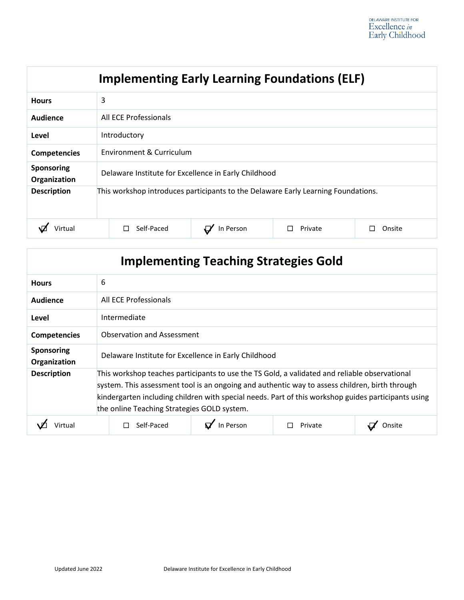| <b>Implementing Early Learning Foundations (ELF)</b> |                                                                                   |           |         |        |  |
|------------------------------------------------------|-----------------------------------------------------------------------------------|-----------|---------|--------|--|
| <b>Hours</b>                                         | 3                                                                                 |           |         |        |  |
| Audience                                             | All ECE Professionals                                                             |           |         |        |  |
| Level                                                | Introductory                                                                      |           |         |        |  |
| <b>Competencies</b>                                  | Environment & Curriculum                                                          |           |         |        |  |
| <b>Sponsoring</b><br>Organization                    | Delaware Institute for Excellence in Early Childhood                              |           |         |        |  |
| <b>Description</b>                                   | This workshop introduces participants to the Delaware Early Learning Foundations. |           |         |        |  |
| 'irtua                                               | Self-Paced<br>$\mathsf{L}$                                                        | In Person | Private | Onsite |  |

| <b>Implementing Teaching Strategies Gold</b> |                                                                                                                                                                                                                                                                                                                                                       |  |  |  |  |
|----------------------------------------------|-------------------------------------------------------------------------------------------------------------------------------------------------------------------------------------------------------------------------------------------------------------------------------------------------------------------------------------------------------|--|--|--|--|
| <b>Hours</b>                                 | 6                                                                                                                                                                                                                                                                                                                                                     |  |  |  |  |
| <b>Audience</b>                              | All ECE Professionals                                                                                                                                                                                                                                                                                                                                 |  |  |  |  |
| Level                                        | Intermediate                                                                                                                                                                                                                                                                                                                                          |  |  |  |  |
| <b>Competencies</b>                          | <b>Observation and Assessment</b>                                                                                                                                                                                                                                                                                                                     |  |  |  |  |
| <b>Sponsoring</b><br>Organization            | Delaware Institute for Excellence in Early Childhood                                                                                                                                                                                                                                                                                                  |  |  |  |  |
| <b>Description</b>                           | This workshop teaches participants to use the TS Gold, a validated and reliable observational<br>system. This assessment tool is an ongoing and authentic way to assess children, birth through<br>kindergarten including children with special needs. Part of this workshop guides participants using<br>the online Teaching Strategies GOLD system. |  |  |  |  |
|                                              | In Person<br>Self-Paced<br>Private<br>Onsite                                                                                                                                                                                                                                                                                                          |  |  |  |  |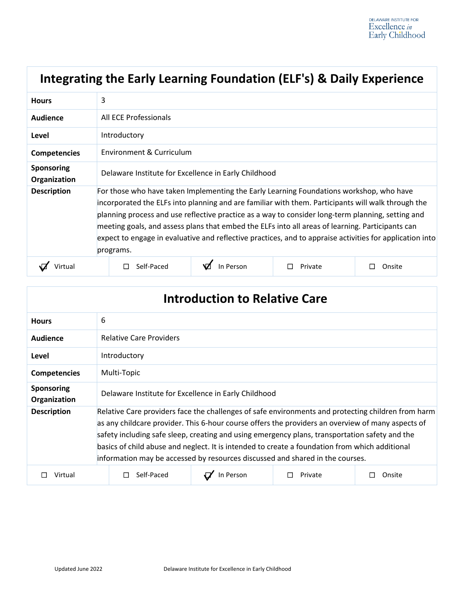|                                   | Integrating the Early Learning Foundation (ELF's) & Daily Experience                                                                                                                                                                                                                                                                                                                                                                                                                                                            |           |         |        |  |  |
|-----------------------------------|---------------------------------------------------------------------------------------------------------------------------------------------------------------------------------------------------------------------------------------------------------------------------------------------------------------------------------------------------------------------------------------------------------------------------------------------------------------------------------------------------------------------------------|-----------|---------|--------|--|--|
| <b>Hours</b>                      | 3                                                                                                                                                                                                                                                                                                                                                                                                                                                                                                                               |           |         |        |  |  |
| <b>Audience</b>                   | All ECE Professionals                                                                                                                                                                                                                                                                                                                                                                                                                                                                                                           |           |         |        |  |  |
| Level                             | Introductory                                                                                                                                                                                                                                                                                                                                                                                                                                                                                                                    |           |         |        |  |  |
| <b>Competencies</b>               | Environment & Curriculum                                                                                                                                                                                                                                                                                                                                                                                                                                                                                                        |           |         |        |  |  |
| <b>Sponsoring</b><br>Organization | Delaware Institute for Excellence in Early Childhood                                                                                                                                                                                                                                                                                                                                                                                                                                                                            |           |         |        |  |  |
| <b>Description</b>                | For those who have taken Implementing the Early Learning Foundations workshop, who have<br>incorporated the ELFs into planning and are familiar with them. Participants will walk through the<br>planning process and use reflective practice as a way to consider long-term planning, setting and<br>meeting goals, and assess plans that embed the ELFs into all areas of learning. Participants can<br>expect to engage in evaluative and reflective practices, and to appraise activities for application into<br>programs. |           |         |        |  |  |
| Virtual                           | Self-Paced                                                                                                                                                                                                                                                                                                                                                                                                                                                                                                                      | In Person | Private | Onsite |  |  |

| <b>Introduction to Relative Care</b> |                                                                                                                                                                                                                                                                                                                                                                                                                                                                                              |           |         |        |  |
|--------------------------------------|----------------------------------------------------------------------------------------------------------------------------------------------------------------------------------------------------------------------------------------------------------------------------------------------------------------------------------------------------------------------------------------------------------------------------------------------------------------------------------------------|-----------|---------|--------|--|
| <b>Hours</b>                         | 6                                                                                                                                                                                                                                                                                                                                                                                                                                                                                            |           |         |        |  |
| Audience                             | <b>Relative Care Providers</b>                                                                                                                                                                                                                                                                                                                                                                                                                                                               |           |         |        |  |
| Level                                | Introductory                                                                                                                                                                                                                                                                                                                                                                                                                                                                                 |           |         |        |  |
| <b>Competencies</b>                  | Multi-Topic                                                                                                                                                                                                                                                                                                                                                                                                                                                                                  |           |         |        |  |
| <b>Sponsoring</b><br>Organization    | Delaware Institute for Excellence in Early Childhood                                                                                                                                                                                                                                                                                                                                                                                                                                         |           |         |        |  |
| <b>Description</b>                   | Relative Care providers face the challenges of safe environments and protecting children from harm<br>as any childcare provider. This 6-hour course offers the providers an overview of many aspects of<br>safety including safe sleep, creating and using emergency plans, transportation safety and the<br>basics of child abuse and neglect. It is intended to create a foundation from which additional<br>information may be accessed by resources discussed and shared in the courses. |           |         |        |  |
| Virtual                              | Self-Paced                                                                                                                                                                                                                                                                                                                                                                                                                                                                                   | In Person | Private | Onsite |  |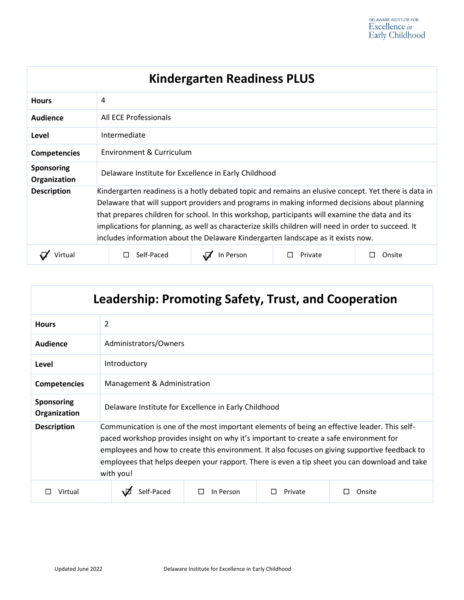| <b>Kindergarten Readiness PLUS</b> |                                                                                                                                                                                                                                                                                                                                                                                                                                                                                                      |           |         |        |  |
|------------------------------------|------------------------------------------------------------------------------------------------------------------------------------------------------------------------------------------------------------------------------------------------------------------------------------------------------------------------------------------------------------------------------------------------------------------------------------------------------------------------------------------------------|-----------|---------|--------|--|
| <b>Hours</b>                       | 4                                                                                                                                                                                                                                                                                                                                                                                                                                                                                                    |           |         |        |  |
| <b>Audience</b>                    | All ECE Professionals                                                                                                                                                                                                                                                                                                                                                                                                                                                                                |           |         |        |  |
| Level                              | Intermediate                                                                                                                                                                                                                                                                                                                                                                                                                                                                                         |           |         |        |  |
| <b>Competencies</b>                | Environment & Curriculum                                                                                                                                                                                                                                                                                                                                                                                                                                                                             |           |         |        |  |
| <b>Sponsoring</b><br>Organization  | Delaware Institute for Excellence in Early Childhood                                                                                                                                                                                                                                                                                                                                                                                                                                                 |           |         |        |  |
| <b>Description</b>                 | Kindergarten readiness is a hotly debated topic and remains an elusive concept. Yet there is data in<br>Delaware that will support providers and programs in making informed decisions about planning<br>that prepares children for school. In this workshop, participants will examine the data and its<br>implications for planning, as well as characterize skills children will need in order to succeed. It<br>includes information about the Delaware Kindergarten landscape as it exists now. |           |         |        |  |
| Virtual                            | Self-Paced                                                                                                                                                                                                                                                                                                                                                                                                                                                                                           | In Person | Private | Onsite |  |

| Leadership: Promoting Safety, Trust, and Cooperation |                                                                                                                                                                                                                                                                                                                                                                                                        |  |  |  |  |
|------------------------------------------------------|--------------------------------------------------------------------------------------------------------------------------------------------------------------------------------------------------------------------------------------------------------------------------------------------------------------------------------------------------------------------------------------------------------|--|--|--|--|
| <b>Hours</b>                                         | 2                                                                                                                                                                                                                                                                                                                                                                                                      |  |  |  |  |
| Audience                                             | Administrators/Owners                                                                                                                                                                                                                                                                                                                                                                                  |  |  |  |  |
| Level                                                | Introductory                                                                                                                                                                                                                                                                                                                                                                                           |  |  |  |  |
| <b>Competencies</b>                                  | Management & Administration                                                                                                                                                                                                                                                                                                                                                                            |  |  |  |  |
| <b>Sponsoring</b><br>Organization                    | Delaware Institute for Excellence in Early Childhood                                                                                                                                                                                                                                                                                                                                                   |  |  |  |  |
| <b>Description</b>                                   | Communication is one of the most important elements of being an effective leader. This self-<br>paced workshop provides insight on why it's important to create a safe environment for<br>employees and how to create this environment. It also focuses on giving supportive feedback to<br>employees that helps deepen your rapport. There is even a tip sheet you can download and take<br>with you! |  |  |  |  |
| Virtual<br>$\Box$                                    | Self-Paced<br>In Person<br>Private<br>Onsite                                                                                                                                                                                                                                                                                                                                                           |  |  |  |  |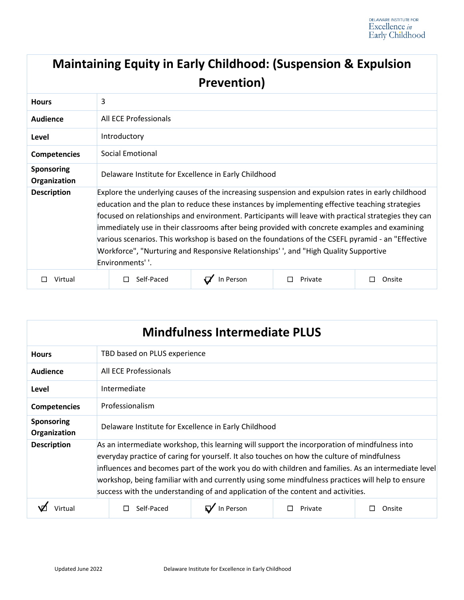# **Maintaining Equity in Early Childhood: (Suspension & Expulsion Prevention)**

| <b>Hours</b>                      | 3                                                                                                                                                                                                                                                                                                                                                                                                                                                                                                                                                                                                                          |           |         |        |  |  |
|-----------------------------------|----------------------------------------------------------------------------------------------------------------------------------------------------------------------------------------------------------------------------------------------------------------------------------------------------------------------------------------------------------------------------------------------------------------------------------------------------------------------------------------------------------------------------------------------------------------------------------------------------------------------------|-----------|---------|--------|--|--|
| <b>Audience</b>                   | All ECE Professionals                                                                                                                                                                                                                                                                                                                                                                                                                                                                                                                                                                                                      |           |         |        |  |  |
| Level                             | Introductory                                                                                                                                                                                                                                                                                                                                                                                                                                                                                                                                                                                                               |           |         |        |  |  |
| <b>Competencies</b>               | Social Emotional                                                                                                                                                                                                                                                                                                                                                                                                                                                                                                                                                                                                           |           |         |        |  |  |
| <b>Sponsoring</b><br>Organization | Delaware Institute for Excellence in Early Childhood                                                                                                                                                                                                                                                                                                                                                                                                                                                                                                                                                                       |           |         |        |  |  |
| <b>Description</b>                | Explore the underlying causes of the increasing suspension and expulsion rates in early childhood<br>education and the plan to reduce these instances by implementing effective teaching strategies<br>focused on relationships and environment. Participants will leave with practical strategies they can<br>immediately use in their classrooms after being provided with concrete examples and examining<br>various scenarios. This workshop is based on the foundations of the CSEFL pyramid - an "Effective<br>Workforce", "Nurturing and Responsive Relationships', and "High Quality Supportive<br>Environments''. |           |         |        |  |  |
| Virtual                           | Self-Paced                                                                                                                                                                                                                                                                                                                                                                                                                                                                                                                                                                                                                 | In Person | Private | Onsite |  |  |

| <b>Mindfulness Intermediate PLUS</b> |                                                                                                                                                                                                                                                                                                                                                                                                                                                                                             |           |         |        |  |
|--------------------------------------|---------------------------------------------------------------------------------------------------------------------------------------------------------------------------------------------------------------------------------------------------------------------------------------------------------------------------------------------------------------------------------------------------------------------------------------------------------------------------------------------|-----------|---------|--------|--|
| <b>Hours</b>                         | TBD based on PLUS experience                                                                                                                                                                                                                                                                                                                                                                                                                                                                |           |         |        |  |
| Audience                             | All ECE Professionals                                                                                                                                                                                                                                                                                                                                                                                                                                                                       |           |         |        |  |
| Level                                | Intermediate                                                                                                                                                                                                                                                                                                                                                                                                                                                                                |           |         |        |  |
| <b>Competencies</b>                  | Professionalism                                                                                                                                                                                                                                                                                                                                                                                                                                                                             |           |         |        |  |
| <b>Sponsoring</b><br>Organization    | Delaware Institute for Excellence in Early Childhood                                                                                                                                                                                                                                                                                                                                                                                                                                        |           |         |        |  |
| <b>Description</b>                   | As an intermediate workshop, this learning will support the incorporation of mindfulness into<br>everyday practice of caring for yourself. It also touches on how the culture of mindfulness<br>influences and becomes part of the work you do with children and families. As an intermediate level<br>workshop, being familiar with and currently using some mindfulness practices will help to ensure<br>success with the understanding of and application of the content and activities. |           |         |        |  |
|                                      | Self-Paced                                                                                                                                                                                                                                                                                                                                                                                                                                                                                  | In Person | Private | Onsite |  |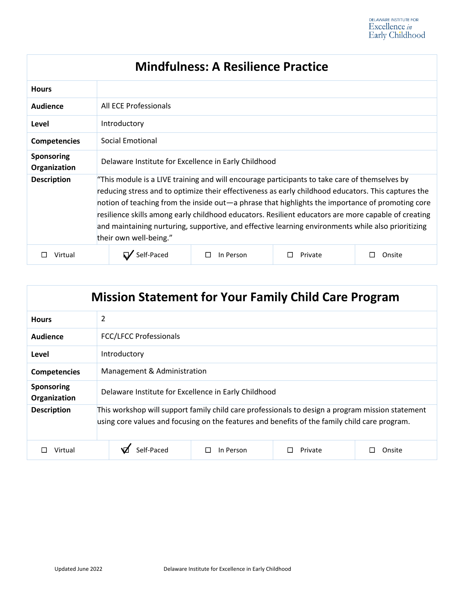| <b>Mindfulness: A Resilience Practice</b> |                                                                                                                                                                                                                                                                                                                                                                                                                                                                                                                                                 |           |         |        |  |
|-------------------------------------------|-------------------------------------------------------------------------------------------------------------------------------------------------------------------------------------------------------------------------------------------------------------------------------------------------------------------------------------------------------------------------------------------------------------------------------------------------------------------------------------------------------------------------------------------------|-----------|---------|--------|--|
| <b>Hours</b>                              |                                                                                                                                                                                                                                                                                                                                                                                                                                                                                                                                                 |           |         |        |  |
| Audience                                  | All ECE Professionals                                                                                                                                                                                                                                                                                                                                                                                                                                                                                                                           |           |         |        |  |
| Level                                     | Introductory                                                                                                                                                                                                                                                                                                                                                                                                                                                                                                                                    |           |         |        |  |
| <b>Competencies</b>                       | Social Emotional                                                                                                                                                                                                                                                                                                                                                                                                                                                                                                                                |           |         |        |  |
| <b>Sponsoring</b><br>Organization         | Delaware Institute for Excellence in Early Childhood                                                                                                                                                                                                                                                                                                                                                                                                                                                                                            |           |         |        |  |
| <b>Description</b>                        | "This module is a LIVE training and will encourage participants to take care of themselves by<br>reducing stress and to optimize their effectiveness as early childhood educators. This captures the<br>notion of teaching from the inside out—a phrase that highlights the importance of promoting core<br>resilience skills among early childhood educators. Resilient educators are more capable of creating<br>and maintaining nurturing, supportive, and effective learning environments while also prioritizing<br>their own well-being." |           |         |        |  |
| Virtual                                   | Self-Paced                                                                                                                                                                                                                                                                                                                                                                                                                                                                                                                                      | In Person | Private | Onsite |  |

| <b>Mission Statement for Your Family Child Care Program</b> |                                                                                                                                                                                                   |  |  |  |  |
|-------------------------------------------------------------|---------------------------------------------------------------------------------------------------------------------------------------------------------------------------------------------------|--|--|--|--|
| <b>Hours</b>                                                | 2                                                                                                                                                                                                 |  |  |  |  |
| Audience                                                    | <b>FCC/LFCC Professionals</b>                                                                                                                                                                     |  |  |  |  |
| Level                                                       | Introductory                                                                                                                                                                                      |  |  |  |  |
| <b>Competencies</b>                                         | Management & Administration                                                                                                                                                                       |  |  |  |  |
| <b>Sponsoring</b><br>Organization                           | Delaware Institute for Excellence in Early Childhood                                                                                                                                              |  |  |  |  |
| <b>Description</b>                                          | This workshop will support family child care professionals to design a program mission statement<br>using core values and focusing on the features and benefits of the family child care program. |  |  |  |  |
| Virtual                                                     | Self-Paced<br>In Person<br>Private<br>$\Box$<br>Onsite                                                                                                                                            |  |  |  |  |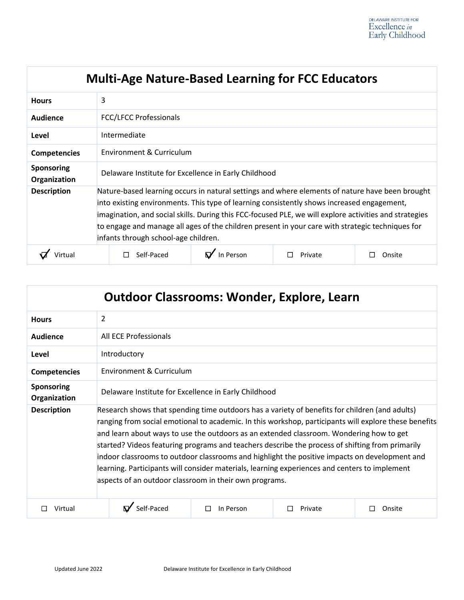| <b>Multi-Age Nature-Based Learning for FCC Educators</b> |                                                                                                                                                                                                                                                                                                                                                                                                                                                     |           |         |        |  |
|----------------------------------------------------------|-----------------------------------------------------------------------------------------------------------------------------------------------------------------------------------------------------------------------------------------------------------------------------------------------------------------------------------------------------------------------------------------------------------------------------------------------------|-----------|---------|--------|--|
| <b>Hours</b>                                             | 3                                                                                                                                                                                                                                                                                                                                                                                                                                                   |           |         |        |  |
| Audience                                                 | <b>FCC/LFCC Professionals</b>                                                                                                                                                                                                                                                                                                                                                                                                                       |           |         |        |  |
| Level                                                    | Intermediate                                                                                                                                                                                                                                                                                                                                                                                                                                        |           |         |        |  |
| <b>Competencies</b>                                      | Environment & Curriculum                                                                                                                                                                                                                                                                                                                                                                                                                            |           |         |        |  |
| <b>Sponsoring</b><br>Organization                        | Delaware Institute for Excellence in Early Childhood                                                                                                                                                                                                                                                                                                                                                                                                |           |         |        |  |
| <b>Description</b>                                       | Nature-based learning occurs in natural settings and where elements of nature have been brought<br>into existing environments. This type of learning consistently shows increased engagement,<br>imagination, and social skills. During this FCC-focused PLE, we will explore activities and strategies<br>to engage and manage all ages of the children present in your care with strategic techniques for<br>infants through school-age children. |           |         |        |  |
|                                                          | Self-Paced                                                                                                                                                                                                                                                                                                                                                                                                                                          | In Person | Private | Onsite |  |

| <b>Outdoor Classrooms: Wonder, Explore, Learn</b> |                                                                                                                                                                                                                                                                                                                                                                                                                                                                                                                                                                                                                                                                   |                |         |        |  |
|---------------------------------------------------|-------------------------------------------------------------------------------------------------------------------------------------------------------------------------------------------------------------------------------------------------------------------------------------------------------------------------------------------------------------------------------------------------------------------------------------------------------------------------------------------------------------------------------------------------------------------------------------------------------------------------------------------------------------------|----------------|---------|--------|--|
| <b>Hours</b>                                      | $\overline{2}$                                                                                                                                                                                                                                                                                                                                                                                                                                                                                                                                                                                                                                                    |                |         |        |  |
| Audience                                          | All ECE Professionals                                                                                                                                                                                                                                                                                                                                                                                                                                                                                                                                                                                                                                             |                |         |        |  |
| Level                                             | Introductory                                                                                                                                                                                                                                                                                                                                                                                                                                                                                                                                                                                                                                                      |                |         |        |  |
| <b>Competencies</b>                               | Environment & Curriculum                                                                                                                                                                                                                                                                                                                                                                                                                                                                                                                                                                                                                                          |                |         |        |  |
| Sponsoring<br>Organization                        | Delaware Institute for Excellence in Early Childhood                                                                                                                                                                                                                                                                                                                                                                                                                                                                                                                                                                                                              |                |         |        |  |
| <b>Description</b>                                | Research shows that spending time outdoors has a variety of benefits for children (and adults)<br>ranging from social emotional to academic. In this workshop, participants will explore these benefits<br>and learn about ways to use the outdoors as an extended classroom. Wondering how to get<br>started? Videos featuring programs and teachers describe the process of shifting from primarily<br>indoor classrooms to outdoor classrooms and highlight the positive impacts on development and<br>learning. Participants will consider materials, learning experiences and centers to implement<br>aspects of an outdoor classroom in their own programs. |                |         |        |  |
| Virtual                                           | $\mathbf{N}'$ Self-Paced                                                                                                                                                                                                                                                                                                                                                                                                                                                                                                                                                                                                                                          | In Person<br>П | Private | Onsite |  |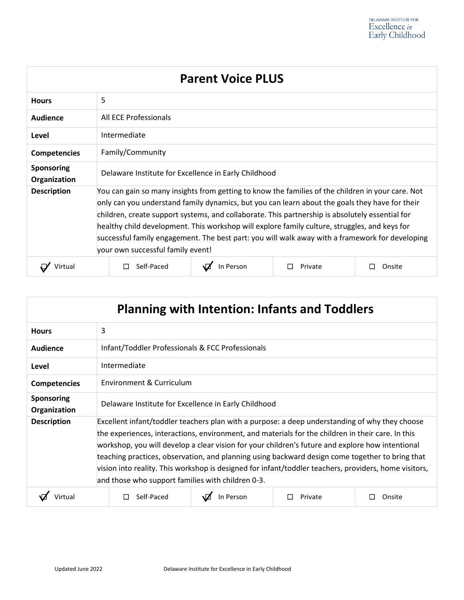| <b>Parent Voice PLUS</b>          |                                                                                                                                                                                                                                                                                                                                                                                                                                                                                                                                                 |           |         |        |
|-----------------------------------|-------------------------------------------------------------------------------------------------------------------------------------------------------------------------------------------------------------------------------------------------------------------------------------------------------------------------------------------------------------------------------------------------------------------------------------------------------------------------------------------------------------------------------------------------|-----------|---------|--------|
| <b>Hours</b>                      | 5                                                                                                                                                                                                                                                                                                                                                                                                                                                                                                                                               |           |         |        |
| Audience                          | All ECE Professionals                                                                                                                                                                                                                                                                                                                                                                                                                                                                                                                           |           |         |        |
| Level                             | Intermediate                                                                                                                                                                                                                                                                                                                                                                                                                                                                                                                                    |           |         |        |
| <b>Competencies</b>               | Family/Community                                                                                                                                                                                                                                                                                                                                                                                                                                                                                                                                |           |         |        |
| <b>Sponsoring</b><br>Organization | Delaware Institute for Excellence in Early Childhood                                                                                                                                                                                                                                                                                                                                                                                                                                                                                            |           |         |        |
| <b>Description</b>                | You can gain so many insights from getting to know the families of the children in your care. Not<br>only can you understand family dynamics, but you can learn about the goals they have for their<br>children, create support systems, and collaborate. This partnership is absolutely essential for<br>healthy child development. This workshop will explore family culture, struggles, and keys for<br>successful family engagement. The best part: you will walk away with a framework for developing<br>your own successful family event! |           |         |        |
| Virtual                           | Self-Paced                                                                                                                                                                                                                                                                                                                                                                                                                                                                                                                                      | In Person | Private | Onsite |

| <b>Planning with Intention: Infants and Toddlers</b> |                                                                                                                                                                                                                                                                                                                                                                                                                                                                                                                                                                          |  |  |  |
|------------------------------------------------------|--------------------------------------------------------------------------------------------------------------------------------------------------------------------------------------------------------------------------------------------------------------------------------------------------------------------------------------------------------------------------------------------------------------------------------------------------------------------------------------------------------------------------------------------------------------------------|--|--|--|
| <b>Hours</b>                                         | 3                                                                                                                                                                                                                                                                                                                                                                                                                                                                                                                                                                        |  |  |  |
| Audience                                             | Infant/Toddler Professionals & FCC Professionals                                                                                                                                                                                                                                                                                                                                                                                                                                                                                                                         |  |  |  |
| Level                                                | Intermediate                                                                                                                                                                                                                                                                                                                                                                                                                                                                                                                                                             |  |  |  |
| <b>Competencies</b>                                  | Environment & Curriculum                                                                                                                                                                                                                                                                                                                                                                                                                                                                                                                                                 |  |  |  |
| <b>Sponsoring</b><br>Organization                    | Delaware Institute for Excellence in Early Childhood                                                                                                                                                                                                                                                                                                                                                                                                                                                                                                                     |  |  |  |
| <b>Description</b>                                   | Excellent infant/toddler teachers plan with a purpose: a deep understanding of why they choose<br>the experiences, interactions, environment, and materials for the children in their care. In this<br>workshop, you will develop a clear vision for your children's future and explore how intentional<br>teaching practices, observation, and planning using backward design come together to bring that<br>vision into reality. This workshop is designed for infant/toddler teachers, providers, home visitors,<br>and those who support families with children 0-3. |  |  |  |
|                                                      | Self-Paced<br>In Person<br>Private<br>П<br>Onsite                                                                                                                                                                                                                                                                                                                                                                                                                                                                                                                        |  |  |  |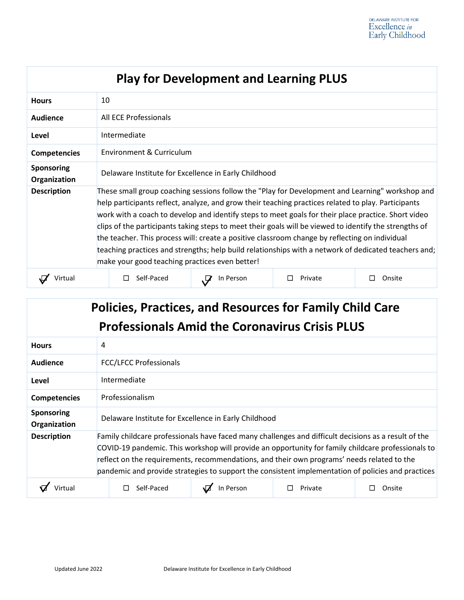| <b>Play for Development and Learning PLUS</b> |                                                                                                                                                                                                                                                                                                                                                                                                                                                                                                                                                                                                                                                                                     |           |         |        |  |
|-----------------------------------------------|-------------------------------------------------------------------------------------------------------------------------------------------------------------------------------------------------------------------------------------------------------------------------------------------------------------------------------------------------------------------------------------------------------------------------------------------------------------------------------------------------------------------------------------------------------------------------------------------------------------------------------------------------------------------------------------|-----------|---------|--------|--|
| <b>Hours</b>                                  | 10                                                                                                                                                                                                                                                                                                                                                                                                                                                                                                                                                                                                                                                                                  |           |         |        |  |
| <b>Audience</b>                               | All ECE Professionals                                                                                                                                                                                                                                                                                                                                                                                                                                                                                                                                                                                                                                                               |           |         |        |  |
| Level                                         | Intermediate                                                                                                                                                                                                                                                                                                                                                                                                                                                                                                                                                                                                                                                                        |           |         |        |  |
| <b>Competencies</b>                           | Environment & Curriculum                                                                                                                                                                                                                                                                                                                                                                                                                                                                                                                                                                                                                                                            |           |         |        |  |
| <b>Sponsoring</b><br>Organization             | Delaware Institute for Excellence in Early Childhood                                                                                                                                                                                                                                                                                                                                                                                                                                                                                                                                                                                                                                |           |         |        |  |
| <b>Description</b>                            | These small group coaching sessions follow the "Play for Development and Learning" workshop and<br>help participants reflect, analyze, and grow their teaching practices related to play. Participants<br>work with a coach to develop and identify steps to meet goals for their place practice. Short video<br>clips of the participants taking steps to meet their goals will be viewed to identify the strengths of<br>the teacher. This process will: create a positive classroom change by reflecting on individual<br>teaching practices and strengths; help build relationships with a network of dedicated teachers and;<br>make your good teaching practices even better! |           |         |        |  |
| Virtual                                       | Self-Paced                                                                                                                                                                                                                                                                                                                                                                                                                                                                                                                                                                                                                                                                          | In Person | Private | Onsite |  |

# **Policies, Practices, and Resources for Family Child Care Professionals Amid the Coronavirus Crisis PLUS**

| <b>Hours</b>                      | 4                                                    |                                                                                                                                                                                                                                                                                                                                                                                                                |           |         |        |
|-----------------------------------|------------------------------------------------------|----------------------------------------------------------------------------------------------------------------------------------------------------------------------------------------------------------------------------------------------------------------------------------------------------------------------------------------------------------------------------------------------------------------|-----------|---------|--------|
| Audience                          |                                                      | <b>FCC/LFCC Professionals</b>                                                                                                                                                                                                                                                                                                                                                                                  |           |         |        |
| Level                             |                                                      | Intermediate                                                                                                                                                                                                                                                                                                                                                                                                   |           |         |        |
| <b>Competencies</b>               |                                                      | Professionalism                                                                                                                                                                                                                                                                                                                                                                                                |           |         |        |
| <b>Sponsoring</b><br>Organization | Delaware Institute for Excellence in Early Childhood |                                                                                                                                                                                                                                                                                                                                                                                                                |           |         |        |
| <b>Description</b>                |                                                      | Family childcare professionals have faced many challenges and difficult decisions as a result of the<br>COVID-19 pandemic. This workshop will provide an opportunity for family childcare professionals to<br>reflect on the requirements, recommendations, and their own programs' needs related to the<br>pandemic and provide strategies to support the consistent implementation of policies and practices |           |         |        |
|                                   |                                                      | Self-Paced                                                                                                                                                                                                                                                                                                                                                                                                     | In Person | Private | Onsite |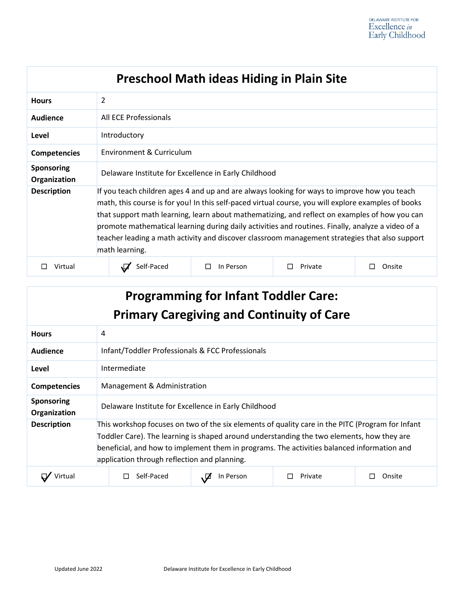| <b>Preschool Math ideas Hiding in Plain Site</b> |                                                                                                                                                                                                                                                                                                                                                                                                                                                                                                                               |           |         |             |  |
|--------------------------------------------------|-------------------------------------------------------------------------------------------------------------------------------------------------------------------------------------------------------------------------------------------------------------------------------------------------------------------------------------------------------------------------------------------------------------------------------------------------------------------------------------------------------------------------------|-----------|---------|-------------|--|
| <b>Hours</b>                                     | 2                                                                                                                                                                                                                                                                                                                                                                                                                                                                                                                             |           |         |             |  |
| Audience                                         | All ECE Professionals                                                                                                                                                                                                                                                                                                                                                                                                                                                                                                         |           |         |             |  |
| Level                                            | Introductory                                                                                                                                                                                                                                                                                                                                                                                                                                                                                                                  |           |         |             |  |
| <b>Competencies</b>                              | Environment & Curriculum                                                                                                                                                                                                                                                                                                                                                                                                                                                                                                      |           |         |             |  |
| <b>Sponsoring</b><br>Organization                | Delaware Institute for Excellence in Early Childhood                                                                                                                                                                                                                                                                                                                                                                                                                                                                          |           |         |             |  |
| <b>Description</b>                               | If you teach children ages 4 and up and are always looking for ways to improve how you teach<br>math, this course is for you! In this self-paced virtual course, you will explore examples of books<br>that support math learning, learn about mathematizing, and reflect on examples of how you can<br>promote mathematical learning during daily activities and routines. Finally, analyze a video of a<br>teacher leading a math activity and discover classroom management strategies that also support<br>math learning. |           |         |             |  |
| Virtual                                          | Self-Paced                                                                                                                                                                                                                                                                                                                                                                                                                                                                                                                    | In Person | Private | Onsite<br>П |  |

| <b>Programming for Infant Toddler Care:</b><br><b>Primary Caregiving and Continuity of Care</b> |                                                                                                                                                                                                                                                                                                                                             |                                                  |         |        |
|-------------------------------------------------------------------------------------------------|---------------------------------------------------------------------------------------------------------------------------------------------------------------------------------------------------------------------------------------------------------------------------------------------------------------------------------------------|--------------------------------------------------|---------|--------|
| <b>Hours</b>                                                                                    | 4                                                                                                                                                                                                                                                                                                                                           |                                                  |         |        |
| Audience                                                                                        |                                                                                                                                                                                                                                                                                                                                             | Infant/Toddler Professionals & FCC Professionals |         |        |
| Level                                                                                           | Intermediate                                                                                                                                                                                                                                                                                                                                |                                                  |         |        |
| <b>Competencies</b>                                                                             | Management & Administration                                                                                                                                                                                                                                                                                                                 |                                                  |         |        |
| <b>Sponsoring</b><br>Organization                                                               | Delaware Institute for Excellence in Early Childhood                                                                                                                                                                                                                                                                                        |                                                  |         |        |
| <b>Description</b>                                                                              | This workshop focuses on two of the six elements of quality care in the PITC (Program for Infant<br>Toddler Care). The learning is shaped around understanding the two elements, how they are<br>beneficial, and how to implement them in programs. The activities balanced information and<br>application through reflection and planning. |                                                  |         |        |
|                                                                                                 | Self-Paced                                                                                                                                                                                                                                                                                                                                  | In Person                                        | Private | Onsite |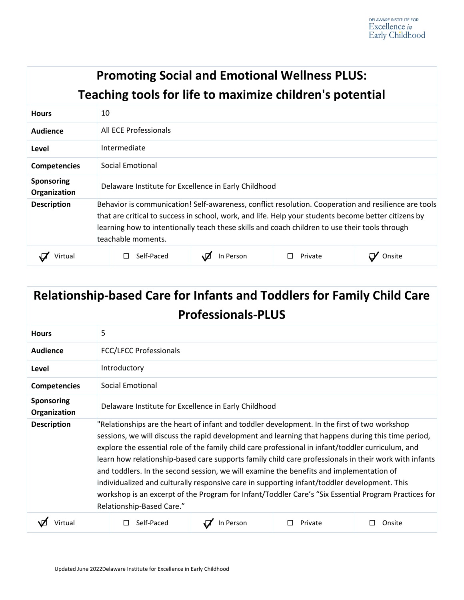|                                   | <b>Promoting Social and Emotional Wellness PLUS:</b><br>Teaching tools for life to maximize children's potential                                                                                                                                                                                                                     |           |         |        |  |
|-----------------------------------|--------------------------------------------------------------------------------------------------------------------------------------------------------------------------------------------------------------------------------------------------------------------------------------------------------------------------------------|-----------|---------|--------|--|
| <b>Hours</b>                      | 10                                                                                                                                                                                                                                                                                                                                   |           |         |        |  |
| Audience                          | All ECE Professionals                                                                                                                                                                                                                                                                                                                |           |         |        |  |
| Level                             | Intermediate                                                                                                                                                                                                                                                                                                                         |           |         |        |  |
| <b>Competencies</b>               | Social Emotional                                                                                                                                                                                                                                                                                                                     |           |         |        |  |
| <b>Sponsoring</b><br>Organization | Delaware Institute for Excellence in Early Childhood                                                                                                                                                                                                                                                                                 |           |         |        |  |
| <b>Description</b>                | Behavior is communication! Self-awareness, conflict resolution. Cooperation and resilience are tools<br>that are critical to success in school, work, and life. Help your students become better citizens by<br>learning how to intentionally teach these skills and coach children to use their tools through<br>teachable moments. |           |         |        |  |
| Virtual                           | Self-Paced                                                                                                                                                                                                                                                                                                                           | In Person | Private | Onsite |  |

| <b>Relationship-based Care for Infants and Toddlers for Family Child Care</b><br><b>Professionals-PLUS</b> |                                                                                                                                                                                                                                                                                                                                                                                                                                                                                                                                                                                                                                                                                                                                                   |           |         |        |  |  |
|------------------------------------------------------------------------------------------------------------|---------------------------------------------------------------------------------------------------------------------------------------------------------------------------------------------------------------------------------------------------------------------------------------------------------------------------------------------------------------------------------------------------------------------------------------------------------------------------------------------------------------------------------------------------------------------------------------------------------------------------------------------------------------------------------------------------------------------------------------------------|-----------|---------|--------|--|--|
| <b>Hours</b>                                                                                               | 5                                                                                                                                                                                                                                                                                                                                                                                                                                                                                                                                                                                                                                                                                                                                                 |           |         |        |  |  |
| Audience                                                                                                   | <b>FCC/LFCC Professionals</b>                                                                                                                                                                                                                                                                                                                                                                                                                                                                                                                                                                                                                                                                                                                     |           |         |        |  |  |
| Level                                                                                                      | Introductory                                                                                                                                                                                                                                                                                                                                                                                                                                                                                                                                                                                                                                                                                                                                      |           |         |        |  |  |
| <b>Competencies</b>                                                                                        | Social Emotional                                                                                                                                                                                                                                                                                                                                                                                                                                                                                                                                                                                                                                                                                                                                  |           |         |        |  |  |
| Sponsoring<br>Organization                                                                                 | Delaware Institute for Excellence in Early Childhood                                                                                                                                                                                                                                                                                                                                                                                                                                                                                                                                                                                                                                                                                              |           |         |        |  |  |
| <b>Description</b>                                                                                         | "Relationships are the heart of infant and toddler development. In the first of two workshop<br>sessions, we will discuss the rapid development and learning that happens during this time period,<br>explore the essential role of the family child care professional in infant/toddler curriculum, and<br>learn how relationship-based care supports family child care professionals in their work with infants<br>and toddlers. In the second session, we will examine the benefits and implementation of<br>individualized and culturally responsive care in supporting infant/toddler development. This<br>workshop is an excerpt of the Program for Infant/Toddler Care's "Six Essential Program Practices for<br>Relationship-Based Care." |           |         |        |  |  |
| Virtual                                                                                                    | Self-Paced                                                                                                                                                                                                                                                                                                                                                                                                                                                                                                                                                                                                                                                                                                                                        | In Person | Private | Onsite |  |  |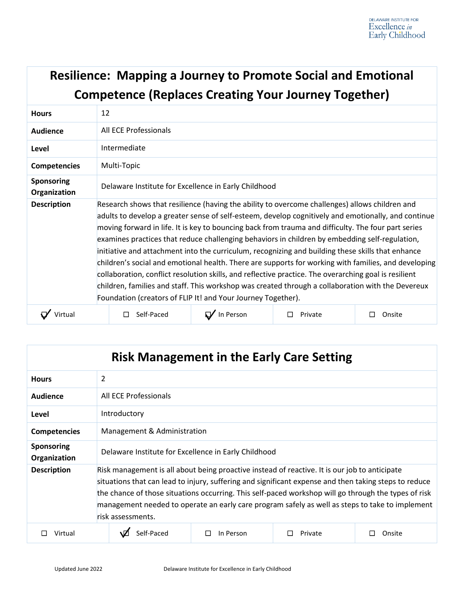#### **Resilience: Mapping a Journey to Promote Social and Emotional Competence (Replaces Creating Your Journey Together) Hours** 12 **Audience** All ECE Professionals **Level** Intermediate **Competencies** Multi-Topic **Sponsoring Organization** Delaware Institute for Excellence in Early Childhood **Description** Research shows that resilience (having the ability to overcome challenges) allows children and adults to develop a greater sense of self-esteem, develop cognitively and emotionally, and continue moving forward in life. It is key to bouncing back from trauma and difficulty. The four part series examines practices that reduce challenging behaviors in children by embedding self-regulation, initiative and attachment into the curriculum, recognizing and building these skills that enhance children's social and emotional health. There are supports for working with families, and developing collaboration, conflict resolution skills, and reflective practice. The overarching goal is resilient children, families and staff. This workshop was created through a collaboration with the Devereux Foundation (creators of FLIP It! and Your Journey Together). ☐ Virtual ☐ Self-Paced ☐ In Person ☐ Private ☐ Onsite

| <b>Risk Management in the Early Care Setting</b> |                                                                                                                                                                                                                                                                                                                                                                                                                                        |                |         |        |  |
|--------------------------------------------------|----------------------------------------------------------------------------------------------------------------------------------------------------------------------------------------------------------------------------------------------------------------------------------------------------------------------------------------------------------------------------------------------------------------------------------------|----------------|---------|--------|--|
| <b>Hours</b>                                     | $\overline{2}$                                                                                                                                                                                                                                                                                                                                                                                                                         |                |         |        |  |
| Audience                                         | All ECE Professionals                                                                                                                                                                                                                                                                                                                                                                                                                  |                |         |        |  |
| Level                                            | Introductory                                                                                                                                                                                                                                                                                                                                                                                                                           |                |         |        |  |
| <b>Competencies</b>                              | Management & Administration                                                                                                                                                                                                                                                                                                                                                                                                            |                |         |        |  |
| <b>Sponsoring</b><br>Organization                | Delaware Institute for Excellence in Early Childhood                                                                                                                                                                                                                                                                                                                                                                                   |                |         |        |  |
| <b>Description</b>                               | Risk management is all about being proactive instead of reactive. It is our job to anticipate<br>situations that can lead to injury, suffering and significant expense and then taking steps to reduce<br>the chance of those situations occurring. This self-paced workshop will go through the types of risk<br>management needed to operate an early care program safely as well as steps to take to implement<br>risk assessments. |                |         |        |  |
| Virtual                                          | Self-Paced                                                                                                                                                                                                                                                                                                                                                                                                                             | In Person<br>П | Private | Onsite |  |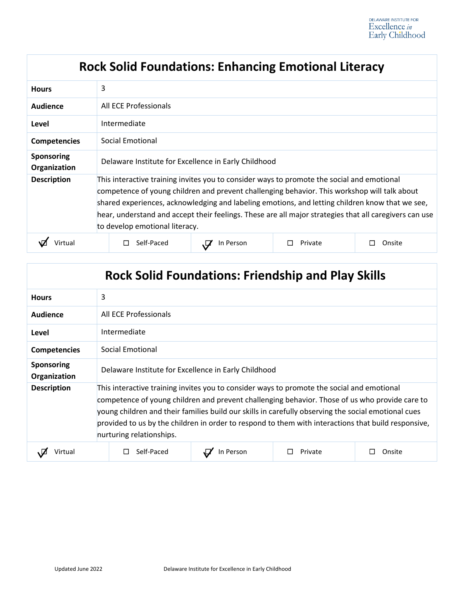| <b>Rock Solid Foundations: Enhancing Emotional Literacy</b> |                                                                                                                                                                                                                                                                                                                                                                                                                                           |           |         |        |  |
|-------------------------------------------------------------|-------------------------------------------------------------------------------------------------------------------------------------------------------------------------------------------------------------------------------------------------------------------------------------------------------------------------------------------------------------------------------------------------------------------------------------------|-----------|---------|--------|--|
| <b>Hours</b>                                                | 3                                                                                                                                                                                                                                                                                                                                                                                                                                         |           |         |        |  |
| Audience                                                    | All ECE Professionals                                                                                                                                                                                                                                                                                                                                                                                                                     |           |         |        |  |
| Level                                                       | Intermediate                                                                                                                                                                                                                                                                                                                                                                                                                              |           |         |        |  |
| <b>Competencies</b>                                         | Social Emotional                                                                                                                                                                                                                                                                                                                                                                                                                          |           |         |        |  |
| <b>Sponsoring</b><br>Organization                           | Delaware Institute for Excellence in Early Childhood                                                                                                                                                                                                                                                                                                                                                                                      |           |         |        |  |
| <b>Description</b>                                          | This interactive training invites you to consider ways to promote the social and emotional<br>competence of young children and prevent challenging behavior. This workshop will talk about<br>shared experiences, acknowledging and labeling emotions, and letting children know that we see,<br>hear, understand and accept their feelings. These are all major strategies that all caregivers can use<br>to develop emotional literacy. |           |         |        |  |
|                                                             | Self-Paced                                                                                                                                                                                                                                                                                                                                                                                                                                | In Person | Private | Onsite |  |

| <b>Rock Solid Foundations: Friendship and Play Skills</b> |                                                                                                                                                                                                                                                                                                                                                                                                                                        |           |         |        |  |
|-----------------------------------------------------------|----------------------------------------------------------------------------------------------------------------------------------------------------------------------------------------------------------------------------------------------------------------------------------------------------------------------------------------------------------------------------------------------------------------------------------------|-----------|---------|--------|--|
| <b>Hours</b>                                              | 3                                                                                                                                                                                                                                                                                                                                                                                                                                      |           |         |        |  |
| Audience                                                  | All ECE Professionals                                                                                                                                                                                                                                                                                                                                                                                                                  |           |         |        |  |
| Level                                                     | Intermediate                                                                                                                                                                                                                                                                                                                                                                                                                           |           |         |        |  |
| <b>Competencies</b>                                       | Social Emotional                                                                                                                                                                                                                                                                                                                                                                                                                       |           |         |        |  |
| <b>Sponsoring</b><br>Organization                         | Delaware Institute for Excellence in Early Childhood                                                                                                                                                                                                                                                                                                                                                                                   |           |         |        |  |
| <b>Description</b>                                        | This interactive training invites you to consider ways to promote the social and emotional<br>competence of young children and prevent challenging behavior. Those of us who provide care to<br>young children and their families build our skills in carefully observing the social emotional cues<br>provided to us by the children in order to respond to them with interactions that build responsive,<br>nurturing relationships. |           |         |        |  |
| Virtual                                                   | Self-Paced                                                                                                                                                                                                                                                                                                                                                                                                                             | In Person | Private | Onsite |  |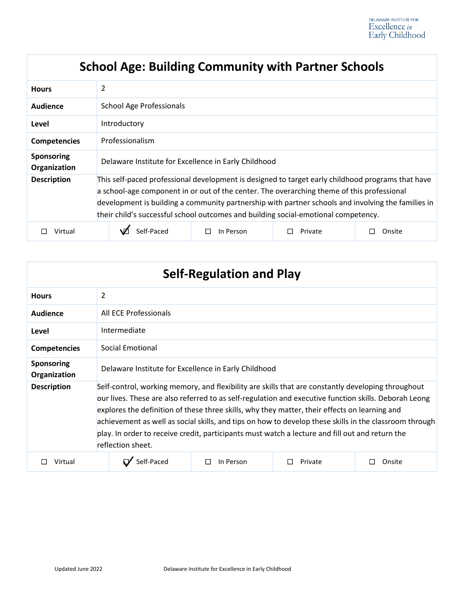### **School Age: Building Community with Partner Schools**

| <b>Hours</b>               | 2                                                                                                                                                                                                                                                                                                                                                                                           |                |         |        |  |
|----------------------------|---------------------------------------------------------------------------------------------------------------------------------------------------------------------------------------------------------------------------------------------------------------------------------------------------------------------------------------------------------------------------------------------|----------------|---------|--------|--|
| <b>Audience</b>            | <b>School Age Professionals</b>                                                                                                                                                                                                                                                                                                                                                             |                |         |        |  |
| Level                      | Introductory                                                                                                                                                                                                                                                                                                                                                                                |                |         |        |  |
| <b>Competencies</b>        | Professionalism                                                                                                                                                                                                                                                                                                                                                                             |                |         |        |  |
| Sponsoring<br>Organization | Delaware Institute for Excellence in Early Childhood                                                                                                                                                                                                                                                                                                                                        |                |         |        |  |
| <b>Description</b>         | This self-paced professional development is designed to target early childhood programs that have<br>a school-age component in or out of the center. The overarching theme of this professional<br>development is building a community partnership with partner schools and involving the families in<br>their child's successful school outcomes and building social-emotional competency. |                |         |        |  |
| Virtual                    | Self-Paced                                                                                                                                                                                                                                                                                                                                                                                  | In Person<br>П | Private | Onsite |  |

| <b>Self-Regulation and Play</b>   |                                                                                                                                                                                                                                                                                                                                                                                                                                                                                                                                                |                |         |        |  |
|-----------------------------------|------------------------------------------------------------------------------------------------------------------------------------------------------------------------------------------------------------------------------------------------------------------------------------------------------------------------------------------------------------------------------------------------------------------------------------------------------------------------------------------------------------------------------------------------|----------------|---------|--------|--|
| <b>Hours</b>                      | $\overline{2}$                                                                                                                                                                                                                                                                                                                                                                                                                                                                                                                                 |                |         |        |  |
| Audience                          | All ECE Professionals                                                                                                                                                                                                                                                                                                                                                                                                                                                                                                                          |                |         |        |  |
| Level                             | Intermediate                                                                                                                                                                                                                                                                                                                                                                                                                                                                                                                                   |                |         |        |  |
| <b>Competencies</b>               | Social Emotional                                                                                                                                                                                                                                                                                                                                                                                                                                                                                                                               |                |         |        |  |
| <b>Sponsoring</b><br>Organization | Delaware Institute for Excellence in Early Childhood                                                                                                                                                                                                                                                                                                                                                                                                                                                                                           |                |         |        |  |
| <b>Description</b>                | Self-control, working memory, and flexibility are skills that are constantly developing throughout<br>our lives. These are also referred to as self-regulation and executive function skills. Deborah Leong<br>explores the definition of these three skills, why they matter, their effects on learning and<br>achievement as well as social skills, and tips on how to develop these skills in the classroom through<br>play. In order to receive credit, participants must watch a lecture and fill out and return the<br>reflection sheet. |                |         |        |  |
| Virtual                           | Self-Paced                                                                                                                                                                                                                                                                                                                                                                                                                                                                                                                                     | In Person<br>П | Private | Onsite |  |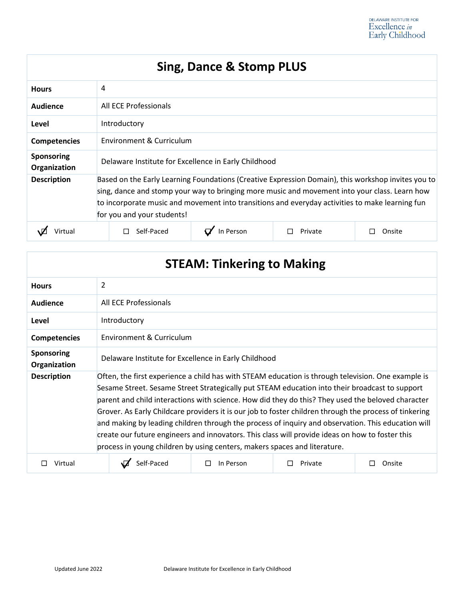### **Sing, Dance & Stomp PLUS**

| <b>Hours</b>                      | 4                                                                                                                                                                                                                                                                                                                                    |           |         |        |  |
|-----------------------------------|--------------------------------------------------------------------------------------------------------------------------------------------------------------------------------------------------------------------------------------------------------------------------------------------------------------------------------------|-----------|---------|--------|--|
| Audience                          | All ECE Professionals                                                                                                                                                                                                                                                                                                                |           |         |        |  |
| Level                             | Introductory                                                                                                                                                                                                                                                                                                                         |           |         |        |  |
| <b>Competencies</b>               | Environment & Curriculum                                                                                                                                                                                                                                                                                                             |           |         |        |  |
| <b>Sponsoring</b><br>Organization | Delaware Institute for Excellence in Early Childhood                                                                                                                                                                                                                                                                                 |           |         |        |  |
| <b>Description</b>                | Based on the Early Learning Foundations (Creative Expression Domain), this workshop invites you to<br>sing, dance and stomp your way to bringing more music and movement into your class. Learn how<br>to incorporate music and movement into transitions and everyday activities to make learning fun<br>for you and your students! |           |         |        |  |
| /irtual                           | Self-Paced                                                                                                                                                                                                                                                                                                                           | In Person | Private | Onsite |  |

# **STEAM: Tinkering to Making**

| <b>Hours</b>                      | 2                                                                                                                                                                                                                                                                                                                                                                                                                                                                                                                                                                                                                                                                                                         |                          |         |        |  |  |
|-----------------------------------|-----------------------------------------------------------------------------------------------------------------------------------------------------------------------------------------------------------------------------------------------------------------------------------------------------------------------------------------------------------------------------------------------------------------------------------------------------------------------------------------------------------------------------------------------------------------------------------------------------------------------------------------------------------------------------------------------------------|--------------------------|---------|--------|--|--|
| Audience                          | All ECE Professionals                                                                                                                                                                                                                                                                                                                                                                                                                                                                                                                                                                                                                                                                                     |                          |         |        |  |  |
| Level                             | Introductory                                                                                                                                                                                                                                                                                                                                                                                                                                                                                                                                                                                                                                                                                              |                          |         |        |  |  |
| <b>Competencies</b>               |                                                                                                                                                                                                                                                                                                                                                                                                                                                                                                                                                                                                                                                                                                           | Environment & Curriculum |         |        |  |  |
| <b>Sponsoring</b><br>Organization | Delaware Institute for Excellence in Early Childhood                                                                                                                                                                                                                                                                                                                                                                                                                                                                                                                                                                                                                                                      |                          |         |        |  |  |
| <b>Description</b>                | Often, the first experience a child has with STEAM education is through television. One example is<br>Sesame Street. Sesame Street Strategically put STEAM education into their broadcast to support<br>parent and child interactions with science. How did they do this? They used the beloved character<br>Grover. As Early Childcare providers it is our job to foster children through the process of tinkering<br>and making by leading children through the process of inquiry and observation. This education will<br>create our future engineers and innovators. This class will provide ideas on how to foster this<br>process in young children by using centers, makers spaces and literature. |                          |         |        |  |  |
| Virtual                           | Self-Paced                                                                                                                                                                                                                                                                                                                                                                                                                                                                                                                                                                                                                                                                                                | In Person                | Private | Onsite |  |  |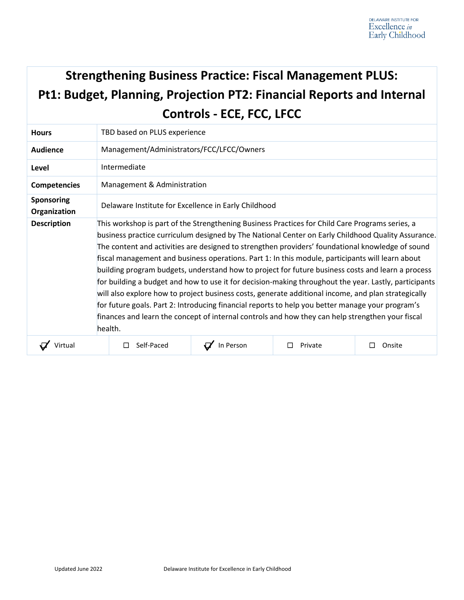# **Strengthening Business Practice: Fiscal Management PLUS: Pt1: Budget, Planning, Projection PT2: Financial Reports and Internal Controls - ECE, FCC, LFCC**

| <b>Hours</b>                      | TBD based on PLUS experience                                                                                                                                                                                                                                                                                                                                                                                                                                                                                                                                                                                                                                                                                                                                                                                                                                                                                                                          |           |         |             |  |
|-----------------------------------|-------------------------------------------------------------------------------------------------------------------------------------------------------------------------------------------------------------------------------------------------------------------------------------------------------------------------------------------------------------------------------------------------------------------------------------------------------------------------------------------------------------------------------------------------------------------------------------------------------------------------------------------------------------------------------------------------------------------------------------------------------------------------------------------------------------------------------------------------------------------------------------------------------------------------------------------------------|-----------|---------|-------------|--|
| Audience                          | Management/Administrators/FCC/LFCC/Owners                                                                                                                                                                                                                                                                                                                                                                                                                                                                                                                                                                                                                                                                                                                                                                                                                                                                                                             |           |         |             |  |
| Level                             | Intermediate                                                                                                                                                                                                                                                                                                                                                                                                                                                                                                                                                                                                                                                                                                                                                                                                                                                                                                                                          |           |         |             |  |
| <b>Competencies</b>               | Management & Administration                                                                                                                                                                                                                                                                                                                                                                                                                                                                                                                                                                                                                                                                                                                                                                                                                                                                                                                           |           |         |             |  |
| <b>Sponsoring</b><br>Organization | Delaware Institute for Excellence in Early Childhood                                                                                                                                                                                                                                                                                                                                                                                                                                                                                                                                                                                                                                                                                                                                                                                                                                                                                                  |           |         |             |  |
| <b>Description</b>                | This workshop is part of the Strengthening Business Practices for Child Care Programs series, a<br>business practice curriculum designed by The National Center on Early Childhood Quality Assurance.<br>The content and activities are designed to strengthen providers' foundational knowledge of sound<br>fiscal management and business operations. Part 1: In this module, participants will learn about<br>building program budgets, understand how to project for future business costs and learn a process<br>for building a budget and how to use it for decision-making throughout the year. Lastly, participants<br>will also explore how to project business costs, generate additional income, and plan strategically<br>for future goals. Part 2: Introducing financial reports to help you better manage your program's<br>finances and learn the concept of internal controls and how they can help strengthen your fiscal<br>health. |           |         |             |  |
| Virtual                           | Self-Paced<br>П                                                                                                                                                                                                                                                                                                                                                                                                                                                                                                                                                                                                                                                                                                                                                                                                                                                                                                                                       | In Person | Private | Onsite<br>П |  |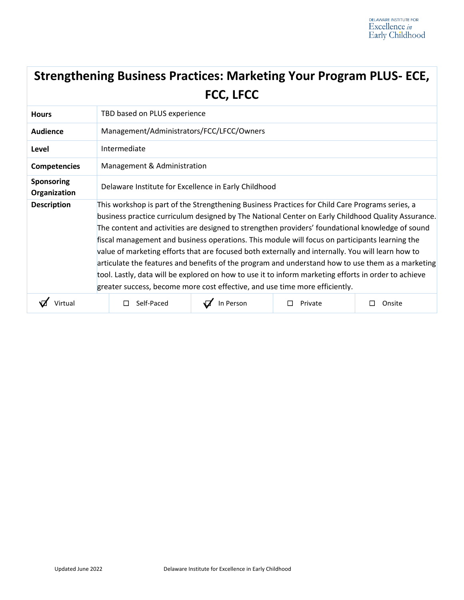| <b>Strengthening Business Practices: Marketing Your Program PLUS- ECE,</b> |
|----------------------------------------------------------------------------|
| <b>FCC, LFCC</b>                                                           |

| <b>Hours</b>                      | TBD based on PLUS experience                                                                                                                                                                                                                                                                                                                                                                                                                                                                                                                                                                                                                                                                                                                                                                                 |                             |         |        |  |  |
|-----------------------------------|--------------------------------------------------------------------------------------------------------------------------------------------------------------------------------------------------------------------------------------------------------------------------------------------------------------------------------------------------------------------------------------------------------------------------------------------------------------------------------------------------------------------------------------------------------------------------------------------------------------------------------------------------------------------------------------------------------------------------------------------------------------------------------------------------------------|-----------------------------|---------|--------|--|--|
| <b>Audience</b>                   | Management/Administrators/FCC/LFCC/Owners                                                                                                                                                                                                                                                                                                                                                                                                                                                                                                                                                                                                                                                                                                                                                                    |                             |         |        |  |  |
| Level                             | Intermediate                                                                                                                                                                                                                                                                                                                                                                                                                                                                                                                                                                                                                                                                                                                                                                                                 |                             |         |        |  |  |
| <b>Competencies</b>               |                                                                                                                                                                                                                                                                                                                                                                                                                                                                                                                                                                                                                                                                                                                                                                                                              | Management & Administration |         |        |  |  |
| <b>Sponsoring</b><br>Organization | Delaware Institute for Excellence in Early Childhood                                                                                                                                                                                                                                                                                                                                                                                                                                                                                                                                                                                                                                                                                                                                                         |                             |         |        |  |  |
| <b>Description</b>                | This workshop is part of the Strengthening Business Practices for Child Care Programs series, a<br>business practice curriculum designed by The National Center on Early Childhood Quality Assurance.<br>The content and activities are designed to strengthen providers' foundational knowledge of sound<br>fiscal management and business operations. This module will focus on participants learning the<br>value of marketing efforts that are focused both externally and internally. You will learn how to<br>articulate the features and benefits of the program and understand how to use them as a marketing<br>tool. Lastly, data will be explored on how to use it to inform marketing efforts in order to achieve<br>greater success, become more cost effective, and use time more efficiently. |                             |         |        |  |  |
|                                   | Self-Paced                                                                                                                                                                                                                                                                                                                                                                                                                                                                                                                                                                                                                                                                                                                                                                                                   | In Person                   | Private | Onsite |  |  |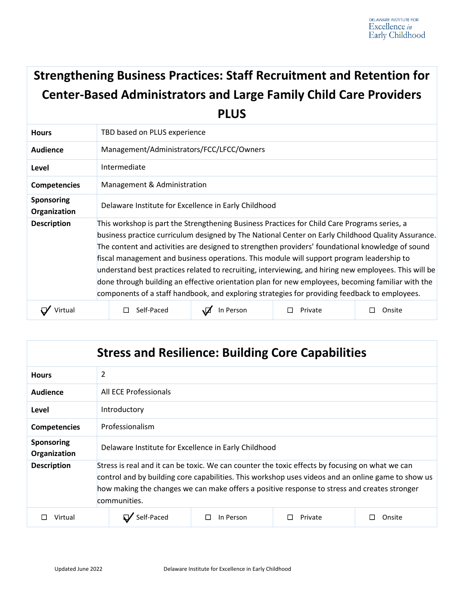# **Strengthening Business Practices: Staff Recruitment and Retention for Center-Based Administrators and Large Family Child Care Providers PLUS**

| <b>Hours</b>                      | TBD based on PLUS experience                                                                          |           |         |        |  |
|-----------------------------------|-------------------------------------------------------------------------------------------------------|-----------|---------|--------|--|
| <b>Audience</b>                   | Management/Administrators/FCC/LFCC/Owners                                                             |           |         |        |  |
| Level                             | Intermediate                                                                                          |           |         |        |  |
| <b>Competencies</b>               | Management & Administration                                                                           |           |         |        |  |
| <b>Sponsoring</b><br>Organization | Delaware Institute for Excellence in Early Childhood                                                  |           |         |        |  |
| <b>Description</b>                | This workshop is part the Strengthening Business Practices for Child Care Programs series, a          |           |         |        |  |
|                                   | business practice curriculum designed by The National Center on Early Childhood Quality Assurance.    |           |         |        |  |
|                                   | The content and activities are designed to strengthen providers' foundational knowledge of sound      |           |         |        |  |
|                                   | fiscal management and business operations. This module will support program leadership to             |           |         |        |  |
|                                   | understand best practices related to recruiting, interviewing, and hiring new employees. This will be |           |         |        |  |
|                                   | done through building an effective orientation plan for new employees, becoming familiar with the     |           |         |        |  |
|                                   | components of a staff handbook, and exploring strategies for providing feedback to employees.         |           |         |        |  |
|                                   | Self-Paced                                                                                            | In Person | Private | Onsite |  |

| <b>Stress and Resilience: Building Core Capabilities</b> |                                                                                                                                                                                                                                                                                                                       |           |         |        |  |  |
|----------------------------------------------------------|-----------------------------------------------------------------------------------------------------------------------------------------------------------------------------------------------------------------------------------------------------------------------------------------------------------------------|-----------|---------|--------|--|--|
| <b>Hours</b>                                             | 2                                                                                                                                                                                                                                                                                                                     |           |         |        |  |  |
| Audience                                                 | All ECE Professionals                                                                                                                                                                                                                                                                                                 |           |         |        |  |  |
| Level                                                    | Introductory                                                                                                                                                                                                                                                                                                          |           |         |        |  |  |
| <b>Competencies</b>                                      | Professionalism                                                                                                                                                                                                                                                                                                       |           |         |        |  |  |
| <b>Sponsoring</b><br>Organization                        | Delaware Institute for Excellence in Early Childhood                                                                                                                                                                                                                                                                  |           |         |        |  |  |
| <b>Description</b>                                       | Stress is real and it can be toxic. We can counter the toxic effects by focusing on what we can<br>control and by building core capabilities. This workshop uses videos and an online game to show us<br>how making the changes we can make offers a positive response to stress and creates stronger<br>communities. |           |         |        |  |  |
| Virtual                                                  | Self-Paced                                                                                                                                                                                                                                                                                                            | In Person | Private | Onsite |  |  |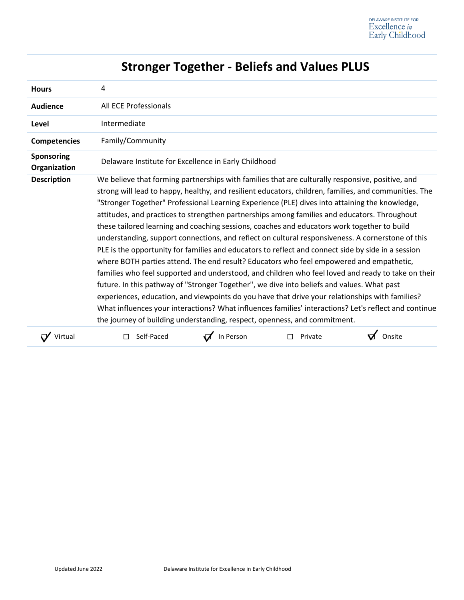|                            | <b>Stronger Together - Beliefs and Values PLUS</b>                                                                                                                                                                                                                                                                                                                                                                                                                                                                                                                                                                                                                                                                                                                                                                                                                                                                                                                                                                                                                                                                                                                                                                                                                                                            |  |  |  |  |
|----------------------------|---------------------------------------------------------------------------------------------------------------------------------------------------------------------------------------------------------------------------------------------------------------------------------------------------------------------------------------------------------------------------------------------------------------------------------------------------------------------------------------------------------------------------------------------------------------------------------------------------------------------------------------------------------------------------------------------------------------------------------------------------------------------------------------------------------------------------------------------------------------------------------------------------------------------------------------------------------------------------------------------------------------------------------------------------------------------------------------------------------------------------------------------------------------------------------------------------------------------------------------------------------------------------------------------------------------|--|--|--|--|
| <b>Hours</b>               | 4                                                                                                                                                                                                                                                                                                                                                                                                                                                                                                                                                                                                                                                                                                                                                                                                                                                                                                                                                                                                                                                                                                                                                                                                                                                                                                             |  |  |  |  |
| <b>Audience</b>            | All ECE Professionals                                                                                                                                                                                                                                                                                                                                                                                                                                                                                                                                                                                                                                                                                                                                                                                                                                                                                                                                                                                                                                                                                                                                                                                                                                                                                         |  |  |  |  |
| Level                      | Intermediate                                                                                                                                                                                                                                                                                                                                                                                                                                                                                                                                                                                                                                                                                                                                                                                                                                                                                                                                                                                                                                                                                                                                                                                                                                                                                                  |  |  |  |  |
| <b>Competencies</b>        | Family/Community                                                                                                                                                                                                                                                                                                                                                                                                                                                                                                                                                                                                                                                                                                                                                                                                                                                                                                                                                                                                                                                                                                                                                                                                                                                                                              |  |  |  |  |
| Sponsoring<br>Organization | Delaware Institute for Excellence in Early Childhood                                                                                                                                                                                                                                                                                                                                                                                                                                                                                                                                                                                                                                                                                                                                                                                                                                                                                                                                                                                                                                                                                                                                                                                                                                                          |  |  |  |  |
| <b>Description</b>         | We believe that forming partnerships with families that are culturally responsive, positive, and<br>strong will lead to happy, healthy, and resilient educators, children, families, and communities. The<br>"Stronger Together" Professional Learning Experience (PLE) dives into attaining the knowledge,<br>attitudes, and practices to strengthen partnerships among families and educators. Throughout<br>these tailored learning and coaching sessions, coaches and educators work together to build<br>understanding, support connections, and reflect on cultural responsiveness. A cornerstone of this<br>PLE is the opportunity for families and educators to reflect and connect side by side in a session<br>where BOTH parties attend. The end result? Educators who feel empowered and empathetic,<br>families who feel supported and understood, and children who feel loved and ready to take on their<br>future. In this pathway of "Stronger Together", we dive into beliefs and values. What past<br>experiences, education, and viewpoints do you have that drive your relationships with families?<br>What influences your interactions? What influences families' interactions? Let's reflect and continue<br>the journey of building understanding, respect, openness, and commitment. |  |  |  |  |
| Virtual                    | In Person<br>Onsite<br>Self-Paced<br>Private<br>п                                                                                                                                                                                                                                                                                                                                                                                                                                                                                                                                                                                                                                                                                                                                                                                                                                                                                                                                                                                                                                                                                                                                                                                                                                                             |  |  |  |  |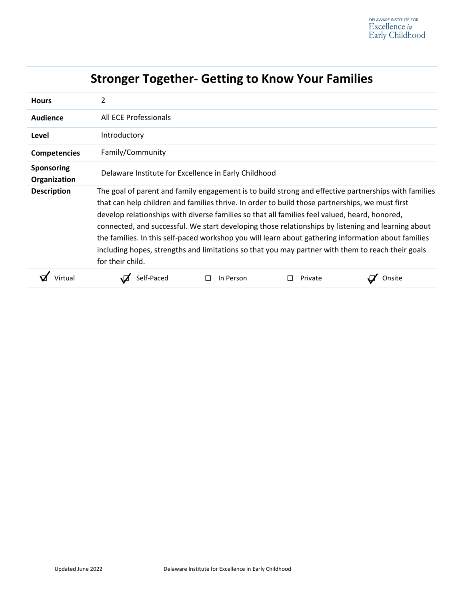| <b>Stronger Together- Getting to Know Your Families</b> |                                                                                                                                                                                                                                                                                                                                                                                                                                                                                                                                                                                                                                                |           |         |        |  |  |  |
|---------------------------------------------------------|------------------------------------------------------------------------------------------------------------------------------------------------------------------------------------------------------------------------------------------------------------------------------------------------------------------------------------------------------------------------------------------------------------------------------------------------------------------------------------------------------------------------------------------------------------------------------------------------------------------------------------------------|-----------|---------|--------|--|--|--|
| <b>Hours</b>                                            | 2                                                                                                                                                                                                                                                                                                                                                                                                                                                                                                                                                                                                                                              |           |         |        |  |  |  |
| Audience                                                | All ECE Professionals                                                                                                                                                                                                                                                                                                                                                                                                                                                                                                                                                                                                                          |           |         |        |  |  |  |
| Level                                                   | Introductory                                                                                                                                                                                                                                                                                                                                                                                                                                                                                                                                                                                                                                   |           |         |        |  |  |  |
| <b>Competencies</b>                                     | Family/Community                                                                                                                                                                                                                                                                                                                                                                                                                                                                                                                                                                                                                               |           |         |        |  |  |  |
| <b>Sponsoring</b><br>Organization                       | Delaware Institute for Excellence in Early Childhood                                                                                                                                                                                                                                                                                                                                                                                                                                                                                                                                                                                           |           |         |        |  |  |  |
| <b>Description</b>                                      | The goal of parent and family engagement is to build strong and effective partnerships with families<br>that can help children and families thrive. In order to build those partnerships, we must first<br>develop relationships with diverse families so that all families feel valued, heard, honored,<br>connected, and successful. We start developing those relationships by listening and learning about<br>the families. In this self-paced workshop you will learn about gathering information about families<br>including hopes, strengths and limitations so that you may partner with them to reach their goals<br>for their child. |           |         |        |  |  |  |
|                                                         | Self-Paced                                                                                                                                                                                                                                                                                                                                                                                                                                                                                                                                                                                                                                     | In Person | Private | Onsite |  |  |  |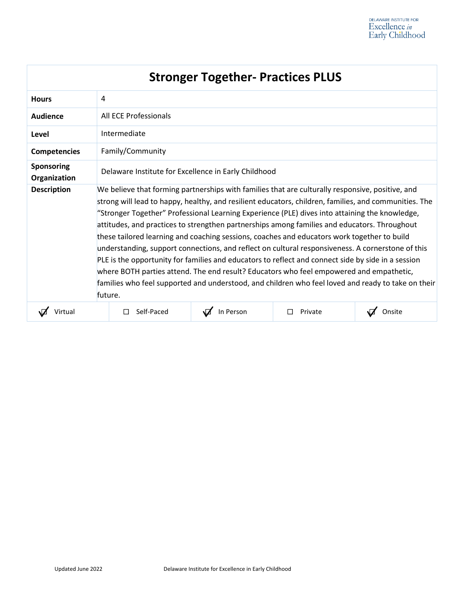| <b>Stronger Together- Practices PLUS</b> |                                                                                                                                                                                                                                                                                                                                                                                                                                                                                                                                                                                                                                                                                                                                                                                                                                                                                                                                   |           |         |        |  |
|------------------------------------------|-----------------------------------------------------------------------------------------------------------------------------------------------------------------------------------------------------------------------------------------------------------------------------------------------------------------------------------------------------------------------------------------------------------------------------------------------------------------------------------------------------------------------------------------------------------------------------------------------------------------------------------------------------------------------------------------------------------------------------------------------------------------------------------------------------------------------------------------------------------------------------------------------------------------------------------|-----------|---------|--------|--|
| <b>Hours</b>                             | 4                                                                                                                                                                                                                                                                                                                                                                                                                                                                                                                                                                                                                                                                                                                                                                                                                                                                                                                                 |           |         |        |  |
| Audience                                 | All ECE Professionals                                                                                                                                                                                                                                                                                                                                                                                                                                                                                                                                                                                                                                                                                                                                                                                                                                                                                                             |           |         |        |  |
| Level                                    | Intermediate                                                                                                                                                                                                                                                                                                                                                                                                                                                                                                                                                                                                                                                                                                                                                                                                                                                                                                                      |           |         |        |  |
| Competencies                             | Family/Community                                                                                                                                                                                                                                                                                                                                                                                                                                                                                                                                                                                                                                                                                                                                                                                                                                                                                                                  |           |         |        |  |
| Sponsoring<br>Organization               | Delaware Institute for Excellence in Early Childhood                                                                                                                                                                                                                                                                                                                                                                                                                                                                                                                                                                                                                                                                                                                                                                                                                                                                              |           |         |        |  |
| <b>Description</b>                       | We believe that forming partnerships with families that are culturally responsive, positive, and<br>strong will lead to happy, healthy, and resilient educators, children, families, and communities. The<br>"Stronger Together" Professional Learning Experience (PLE) dives into attaining the knowledge,<br>attitudes, and practices to strengthen partnerships among families and educators. Throughout<br>these tailored learning and coaching sessions, coaches and educators work together to build<br>understanding, support connections, and reflect on cultural responsiveness. A cornerstone of this<br>PLE is the opportunity for families and educators to reflect and connect side by side in a session<br>where BOTH parties attend. The end result? Educators who feel empowered and empathetic,<br>families who feel supported and understood, and children who feel loved and ready to take on their<br>future. |           |         |        |  |
|                                          | Self-Paced                                                                                                                                                                                                                                                                                                                                                                                                                                                                                                                                                                                                                                                                                                                                                                                                                                                                                                                        | In Person | Private | Onsite |  |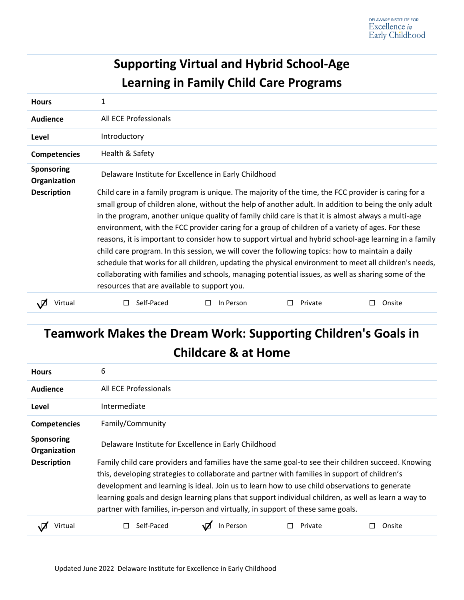|                            |                                                                                                                                                                                                                                                                                                                                                                                                                                                                                                                                                                                                                                                                                                                                                                                                                                                                                                        | <b>Supporting Virtual and Hybrid School-Age</b><br><b>Learning in Family Child Care Programs</b> |              |             |
|----------------------------|--------------------------------------------------------------------------------------------------------------------------------------------------------------------------------------------------------------------------------------------------------------------------------------------------------------------------------------------------------------------------------------------------------------------------------------------------------------------------------------------------------------------------------------------------------------------------------------------------------------------------------------------------------------------------------------------------------------------------------------------------------------------------------------------------------------------------------------------------------------------------------------------------------|--------------------------------------------------------------------------------------------------|--------------|-------------|
| <b>Hours</b>               | $\mathbf{1}$                                                                                                                                                                                                                                                                                                                                                                                                                                                                                                                                                                                                                                                                                                                                                                                                                                                                                           |                                                                                                  |              |             |
| Audience                   | All ECE Professionals                                                                                                                                                                                                                                                                                                                                                                                                                                                                                                                                                                                                                                                                                                                                                                                                                                                                                  |                                                                                                  |              |             |
| Level                      | Introductory                                                                                                                                                                                                                                                                                                                                                                                                                                                                                                                                                                                                                                                                                                                                                                                                                                                                                           |                                                                                                  |              |             |
| <b>Competencies</b>        | Health & Safety                                                                                                                                                                                                                                                                                                                                                                                                                                                                                                                                                                                                                                                                                                                                                                                                                                                                                        |                                                                                                  |              |             |
| Sponsoring<br>Organization | Delaware Institute for Excellence in Early Childhood                                                                                                                                                                                                                                                                                                                                                                                                                                                                                                                                                                                                                                                                                                                                                                                                                                                   |                                                                                                  |              |             |
| <b>Description</b>         | Child care in a family program is unique. The majority of the time, the FCC provider is caring for a<br>small group of children alone, without the help of another adult. In addition to being the only adult<br>in the program, another unique quality of family child care is that it is almost always a multi-age<br>environment, with the FCC provider caring for a group of children of a variety of ages. For these<br>reasons, it is important to consider how to support virtual and hybrid school-age learning in a family<br>child care program. In this session, we will cover the following topics: how to maintain a daily<br>schedule that works for all children, updating the physical environment to meet all children's needs,<br>collaborating with families and schools, managing potential issues, as well as sharing some of the<br>resources that are available to support you. |                                                                                                  |              |             |
| Virtual<br>.Ø              | Self-Paced<br>П                                                                                                                                                                                                                                                                                                                                                                                                                                                                                                                                                                                                                                                                                                                                                                                                                                                                                        | In Person<br>$\Box$                                                                              | Private<br>П | Onsite<br>□ |

# **Teamwork Makes the Dream Work: Supporting Children's Goals in Childcare & at Home**

| <b>Hours</b>                      | 6                                                                                                                                                                                                                                                                                                                                                                                                                                                                                               |           |         |        |
|-----------------------------------|-------------------------------------------------------------------------------------------------------------------------------------------------------------------------------------------------------------------------------------------------------------------------------------------------------------------------------------------------------------------------------------------------------------------------------------------------------------------------------------------------|-----------|---------|--------|
| Audience                          | All ECE Professionals                                                                                                                                                                                                                                                                                                                                                                                                                                                                           |           |         |        |
| Level                             | Intermediate                                                                                                                                                                                                                                                                                                                                                                                                                                                                                    |           |         |        |
| <b>Competencies</b>               | Family/Community                                                                                                                                                                                                                                                                                                                                                                                                                                                                                |           |         |        |
| <b>Sponsoring</b><br>Organization | Delaware Institute for Excellence in Early Childhood                                                                                                                                                                                                                                                                                                                                                                                                                                            |           |         |        |
| <b>Description</b>                | Family child care providers and families have the same goal-to see their children succeed. Knowing<br>this, developing strategies to collaborate and partner with families in support of children's<br>development and learning is ideal. Join us to learn how to use child observations to generate<br>learning goals and design learning plans that support individual children, as well as learn a way to<br>partner with families, in-person and virtually, in support of these same goals. |           |         |        |
|                                   | Self-Paced                                                                                                                                                                                                                                                                                                                                                                                                                                                                                      | In Person | Private | Onsite |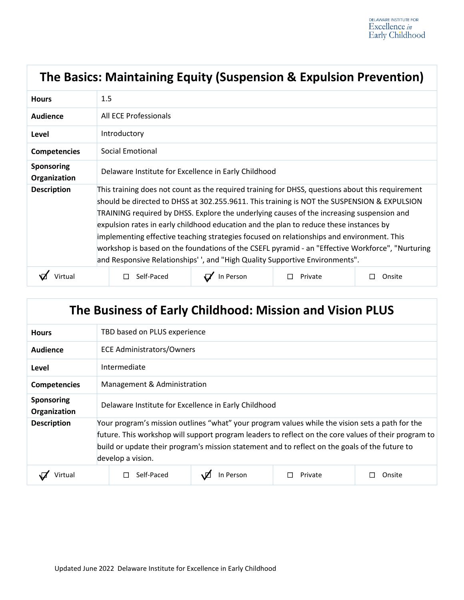# **The Basics: Maintaining Equity (Suspension & Expulsion Prevention)**

| <b>Hours</b>                      | 1.5                                                                                                                                                                                                                                                                                                                                                                                                                                                                                                                                                                                                                                                                   |           |         |        |
|-----------------------------------|-----------------------------------------------------------------------------------------------------------------------------------------------------------------------------------------------------------------------------------------------------------------------------------------------------------------------------------------------------------------------------------------------------------------------------------------------------------------------------------------------------------------------------------------------------------------------------------------------------------------------------------------------------------------------|-----------|---------|--------|
| Audience                          | All ECE Professionals                                                                                                                                                                                                                                                                                                                                                                                                                                                                                                                                                                                                                                                 |           |         |        |
| Level                             | Introductory                                                                                                                                                                                                                                                                                                                                                                                                                                                                                                                                                                                                                                                          |           |         |        |
| <b>Competencies</b>               | Social Emotional                                                                                                                                                                                                                                                                                                                                                                                                                                                                                                                                                                                                                                                      |           |         |        |
| <b>Sponsoring</b><br>Organization | Delaware Institute for Excellence in Early Childhood                                                                                                                                                                                                                                                                                                                                                                                                                                                                                                                                                                                                                  |           |         |        |
| <b>Description</b>                | This training does not count as the required training for DHSS, questions about this requirement<br>should be directed to DHSS at 302.255.9611. This training is NOT the SUSPENSION & EXPULSION<br>TRAINING required by DHSS. Explore the underlying causes of the increasing suspension and<br>expulsion rates in early childhood education and the plan to reduce these instances by<br>implementing effective teaching strategies focused on relationships and environment. This<br>workshop is based on the foundations of the CSEFL pyramid - an "Effective Workforce", "Nurturing<br>and Responsive Relationships', and "High Quality Supportive Environments". |           |         |        |
|                                   | Self-Paced                                                                                                                                                                                                                                                                                                                                                                                                                                                                                                                                                                                                                                                            | In Person | Private | Onsite |

| The Business of Early Childhood: Mission and Vision PLUS |                                                                                                                                                                                                                                                                                                                                |                                  |         |        |
|----------------------------------------------------------|--------------------------------------------------------------------------------------------------------------------------------------------------------------------------------------------------------------------------------------------------------------------------------------------------------------------------------|----------------------------------|---------|--------|
| <b>Hours</b>                                             | TBD based on PLUS experience                                                                                                                                                                                                                                                                                                   |                                  |         |        |
| Audience                                                 |                                                                                                                                                                                                                                                                                                                                | <b>ECE Administrators/Owners</b> |         |        |
| Level                                                    | Intermediate                                                                                                                                                                                                                                                                                                                   |                                  |         |        |
| <b>Competencies</b>                                      | Management & Administration                                                                                                                                                                                                                                                                                                    |                                  |         |        |
| <b>Sponsoring</b><br>Organization                        | Delaware Institute for Excellence in Early Childhood                                                                                                                                                                                                                                                                           |                                  |         |        |
| <b>Description</b>                                       | Your program's mission outlines "what" your program values while the vision sets a path for the<br>future. This workshop will support program leaders to reflect on the core values of their program to<br>build or update their program's mission statement and to reflect on the goals of the future to<br>develop a vision. |                                  |         |        |
| Virtual                                                  | Self-Paced                                                                                                                                                                                                                                                                                                                     | In Person                        | Private | Onsite |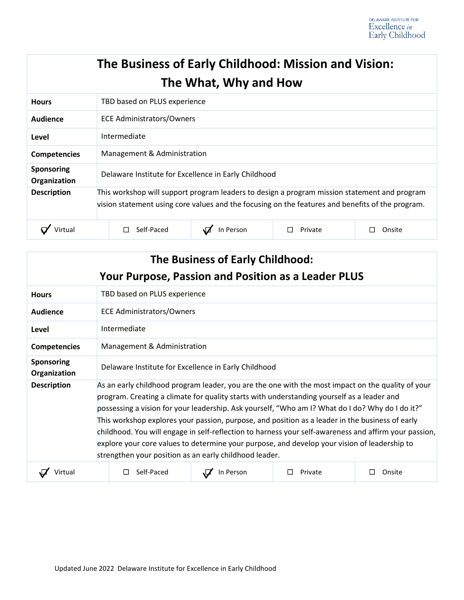|                                   | The Business of Early Childhood: Mission and Vision:                                                                                                                                             | The What, Why and How |         |        |
|-----------------------------------|--------------------------------------------------------------------------------------------------------------------------------------------------------------------------------------------------|-----------------------|---------|--------|
| <b>Hours</b>                      | TBD based on PLUS experience                                                                                                                                                                     |                       |         |        |
| Audience                          | <b>ECE Administrators/Owners</b>                                                                                                                                                                 |                       |         |        |
| Level                             | Intermediate                                                                                                                                                                                     |                       |         |        |
| <b>Competencies</b>               | Management & Administration                                                                                                                                                                      |                       |         |        |
| <b>Sponsoring</b><br>Organization | Delaware Institute for Excellence in Early Childhood                                                                                                                                             |                       |         |        |
| <b>Description</b>                | This workshop will support program leaders to design a program mission statement and program<br>vision statement using core values and the focusing on the features and benefits of the program. |                       |         |        |
| Virtual                           | Self-Paced                                                                                                                                                                                       | In Person             | Private | Onsite |

| The Business of Early Childhood:<br><b>Your Purpose, Passion and Position as a Leader PLUS</b> |                                                                                                                                                                                                                                                                                                                                                                                                                                                                                                                                                                                                                                                                           |           |         |        |
|------------------------------------------------------------------------------------------------|---------------------------------------------------------------------------------------------------------------------------------------------------------------------------------------------------------------------------------------------------------------------------------------------------------------------------------------------------------------------------------------------------------------------------------------------------------------------------------------------------------------------------------------------------------------------------------------------------------------------------------------------------------------------------|-----------|---------|--------|
| <b>Hours</b>                                                                                   | TBD based on PLUS experience                                                                                                                                                                                                                                                                                                                                                                                                                                                                                                                                                                                                                                              |           |         |        |
| Audience                                                                                       | <b>ECE Administrators/Owners</b>                                                                                                                                                                                                                                                                                                                                                                                                                                                                                                                                                                                                                                          |           |         |        |
| Level                                                                                          | Intermediate                                                                                                                                                                                                                                                                                                                                                                                                                                                                                                                                                                                                                                                              |           |         |        |
| <b>Competencies</b>                                                                            | Management & Administration                                                                                                                                                                                                                                                                                                                                                                                                                                                                                                                                                                                                                                               |           |         |        |
| <b>Sponsoring</b><br>Organization                                                              | Delaware Institute for Excellence in Early Childhood                                                                                                                                                                                                                                                                                                                                                                                                                                                                                                                                                                                                                      |           |         |        |
| <b>Description</b>                                                                             | As an early childhood program leader, you are the one with the most impact on the quality of your<br>program. Creating a climate for quality starts with understanding yourself as a leader and<br>possessing a vision for your leadership. Ask yourself, "Who am I? What do I do? Why do I do it?"<br>This workshop explores your passion, purpose, and position as a leader in the business of early<br>childhood. You will engage in self-reflection to harness your self-awareness and affirm your passion,<br>explore your core values to determine your purpose, and develop your vision of leadership to<br>strengthen your position as an early childhood leader. |           |         |        |
| Virtual                                                                                        | Self-Paced                                                                                                                                                                                                                                                                                                                                                                                                                                                                                                                                                                                                                                                                | In Person | Private | Onsite |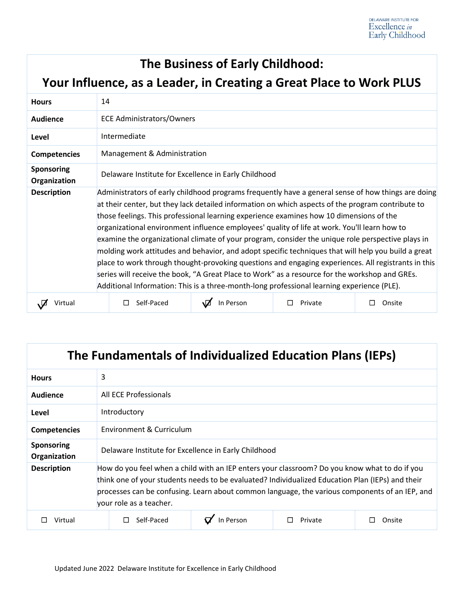#### **The Business of Early Childhood:**

**Your Influence, as a Leader, in Creating a Great Place to Work PLUS**

| <b>Hours</b>                      | 14                                                                                                                                                                                                                                                                                                                                                                                                                                                                                                                                                                                                                                                                                                                                                                                                                                                                                                                    |           |         |        |
|-----------------------------------|-----------------------------------------------------------------------------------------------------------------------------------------------------------------------------------------------------------------------------------------------------------------------------------------------------------------------------------------------------------------------------------------------------------------------------------------------------------------------------------------------------------------------------------------------------------------------------------------------------------------------------------------------------------------------------------------------------------------------------------------------------------------------------------------------------------------------------------------------------------------------------------------------------------------------|-----------|---------|--------|
| Audience                          | <b>ECE Administrators/Owners</b>                                                                                                                                                                                                                                                                                                                                                                                                                                                                                                                                                                                                                                                                                                                                                                                                                                                                                      |           |         |        |
| Level                             | Intermediate                                                                                                                                                                                                                                                                                                                                                                                                                                                                                                                                                                                                                                                                                                                                                                                                                                                                                                          |           |         |        |
| <b>Competencies</b>               | Management & Administration                                                                                                                                                                                                                                                                                                                                                                                                                                                                                                                                                                                                                                                                                                                                                                                                                                                                                           |           |         |        |
| <b>Sponsoring</b><br>Organization | Delaware Institute for Excellence in Early Childhood                                                                                                                                                                                                                                                                                                                                                                                                                                                                                                                                                                                                                                                                                                                                                                                                                                                                  |           |         |        |
| <b>Description</b>                | Administrators of early childhood programs frequently have a general sense of how things are doing<br>at their center, but they lack detailed information on which aspects of the program contribute to<br>those feelings. This professional learning experience examines how 10 dimensions of the<br>organizational environment influence employees' quality of life at work. You'll learn how to<br>examine the organizational climate of your program, consider the unique role perspective plays in<br>molding work attitudes and behavior, and adopt specific techniques that will help you build a great<br>place to work through thought-provoking questions and engaging experiences. All registrants in this<br>series will receive the book, "A Great Place to Work" as a resource for the workshop and GREs.<br>Additional Information: This is a three-month-long professional learning experience (PLE). |           |         |        |
| Virtual                           | Self-Paced                                                                                                                                                                                                                                                                                                                                                                                                                                                                                                                                                                                                                                                                                                                                                                                                                                                                                                            | In Person | Private | Onsite |

| The Fundamentals of Individualized Education Plans (IEPs) |                                                                                                                                                                                                                                                                                                                                |           |         |        |
|-----------------------------------------------------------|--------------------------------------------------------------------------------------------------------------------------------------------------------------------------------------------------------------------------------------------------------------------------------------------------------------------------------|-----------|---------|--------|
| <b>Hours</b>                                              | 3                                                                                                                                                                                                                                                                                                                              |           |         |        |
| Audience                                                  | All ECE Professionals                                                                                                                                                                                                                                                                                                          |           |         |        |
| Level                                                     | Introductory                                                                                                                                                                                                                                                                                                                   |           |         |        |
| <b>Competencies</b>                                       | Environment & Curriculum                                                                                                                                                                                                                                                                                                       |           |         |        |
| <b>Sponsoring</b><br>Organization                         | Delaware Institute for Excellence in Early Childhood                                                                                                                                                                                                                                                                           |           |         |        |
| <b>Description</b>                                        | How do you feel when a child with an IEP enters your classroom? Do you know what to do if you<br>think one of your students needs to be evaluated? Individualized Education Plan (IEPs) and their<br>processes can be confusing. Learn about common language, the various components of an IEP, and<br>your role as a teacher. |           |         |        |
| Virtual                                                   | Self-Paced                                                                                                                                                                                                                                                                                                                     | In Person | Private | Onsite |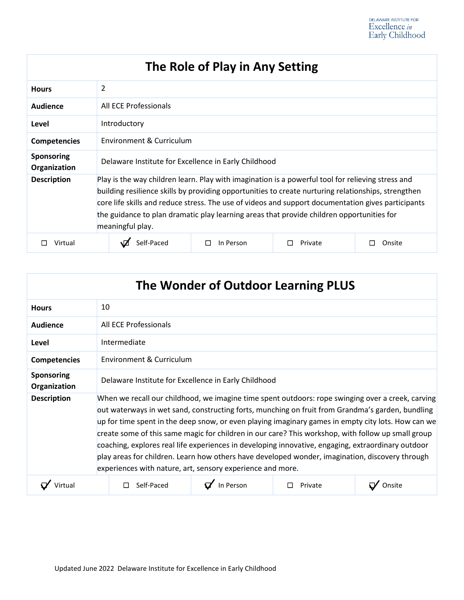#### **The Role of Play in Any Setting Hours** 2 **Audience** All ECE Professionals **Level** Introductory **Competencies** Environment & Curriculum **Sponsoring Organization** Delaware Institute for Excellence in Early Childhood **Description** Play is the way children learn. Play with imagination is a powerful tool for relieving stress and building resilience skills by providing opportunities to create nurturing relationships, strengthen core life skills and reduce stress. The use of videos and support documentation gives participants the guidance to plan dramatic play learning areas that provide children opportunities for meaningful play. ☐ Virtual ☐ Self-Paced ☐ In Person ☐ Private ☐ Onsite

| The Wonder of Outdoor Learning PLUS |                                                                                                                                                                                                                                                                                                                                                                                                                                                                                                                                                                                                                                                                                          |           |         |  |
|-------------------------------------|------------------------------------------------------------------------------------------------------------------------------------------------------------------------------------------------------------------------------------------------------------------------------------------------------------------------------------------------------------------------------------------------------------------------------------------------------------------------------------------------------------------------------------------------------------------------------------------------------------------------------------------------------------------------------------------|-----------|---------|--|
| <b>Hours</b>                        | 10                                                                                                                                                                                                                                                                                                                                                                                                                                                                                                                                                                                                                                                                                       |           |         |  |
| Audience                            | All ECE Professionals                                                                                                                                                                                                                                                                                                                                                                                                                                                                                                                                                                                                                                                                    |           |         |  |
| Level                               | Intermediate                                                                                                                                                                                                                                                                                                                                                                                                                                                                                                                                                                                                                                                                             |           |         |  |
| <b>Competencies</b>                 | Environment & Curriculum                                                                                                                                                                                                                                                                                                                                                                                                                                                                                                                                                                                                                                                                 |           |         |  |
| Sponsoring<br>Organization          | Delaware Institute for Excellence in Early Childhood                                                                                                                                                                                                                                                                                                                                                                                                                                                                                                                                                                                                                                     |           |         |  |
| <b>Description</b>                  | When we recall our childhood, we imagine time spent outdoors: rope swinging over a creek, carving<br>out waterways in wet sand, constructing forts, munching on fruit from Grandma's garden, bundling<br>up for time spent in the deep snow, or even playing imaginary games in empty city lots. How can we<br>create some of this same magic for children in our care? This workshop, with follow up small group<br>coaching, explores real life experiences in developing innovative, engaging, extraordinary outdoor<br>play areas for children. Learn how others have developed wonder, imagination, discovery through<br>experiences with nature, art, sensory experience and more. |           |         |  |
|                                     | Self-Paced                                                                                                                                                                                                                                                                                                                                                                                                                                                                                                                                                                                                                                                                               | In Person | Private |  |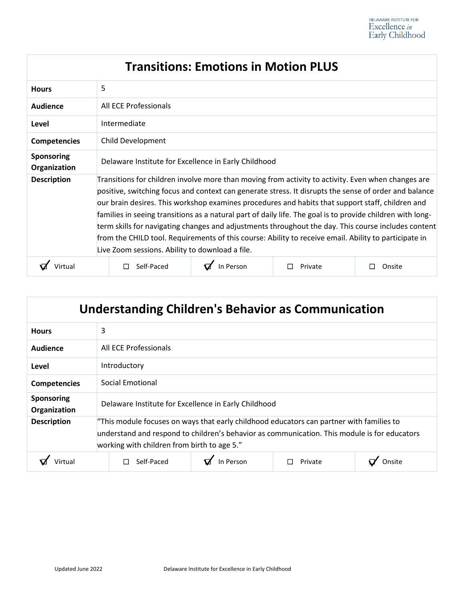| <b>Transitions: Emotions in Motion PLUS</b> |                                                                                                                                                                                                                                                                                                                                                                                                                                                                                                                                                                                                                                                                                                  |           |         |        |
|---------------------------------------------|--------------------------------------------------------------------------------------------------------------------------------------------------------------------------------------------------------------------------------------------------------------------------------------------------------------------------------------------------------------------------------------------------------------------------------------------------------------------------------------------------------------------------------------------------------------------------------------------------------------------------------------------------------------------------------------------------|-----------|---------|--------|
| <b>Hours</b>                                | 5                                                                                                                                                                                                                                                                                                                                                                                                                                                                                                                                                                                                                                                                                                |           |         |        |
| Audience                                    | All ECE Professionals                                                                                                                                                                                                                                                                                                                                                                                                                                                                                                                                                                                                                                                                            |           |         |        |
| Level                                       | Intermediate                                                                                                                                                                                                                                                                                                                                                                                                                                                                                                                                                                                                                                                                                     |           |         |        |
| <b>Competencies</b>                         | Child Development                                                                                                                                                                                                                                                                                                                                                                                                                                                                                                                                                                                                                                                                                |           |         |        |
| <b>Sponsoring</b><br>Organization           | Delaware Institute for Excellence in Early Childhood                                                                                                                                                                                                                                                                                                                                                                                                                                                                                                                                                                                                                                             |           |         |        |
| <b>Description</b>                          | Transitions for children involve more than moving from activity to activity. Even when changes are<br>positive, switching focus and context can generate stress. It disrupts the sense of order and balance<br>our brain desires. This workshop examines procedures and habits that support staff, children and<br>families in seeing transitions as a natural part of daily life. The goal is to provide children with long-<br>term skills for navigating changes and adjustments throughout the day. This course includes content<br>from the CHILD tool. Requirements of this course: Ability to receive email. Ability to participate in<br>Live Zoom sessions. Ability to download a file. |           |         |        |
| Virtua                                      | Self-Paced<br>П                                                                                                                                                                                                                                                                                                                                                                                                                                                                                                                                                                                                                                                                                  | In Person | Private | Onsite |

| <b>Understanding Children's Behavior as Communication</b> |                                                                                                                                                                                                                                         |           |         |  |
|-----------------------------------------------------------|-----------------------------------------------------------------------------------------------------------------------------------------------------------------------------------------------------------------------------------------|-----------|---------|--|
| <b>Hours</b>                                              | 3                                                                                                                                                                                                                                       |           |         |  |
| Audience                                                  | All ECE Professionals                                                                                                                                                                                                                   |           |         |  |
| Level                                                     | Introductory                                                                                                                                                                                                                            |           |         |  |
| <b>Competencies</b>                                       | Social Emotional                                                                                                                                                                                                                        |           |         |  |
| Sponsoring<br>Organization                                | Delaware Institute for Excellence in Early Childhood                                                                                                                                                                                    |           |         |  |
| <b>Description</b>                                        | "This module focuses on ways that early childhood educators can partner with families to<br>understand and respond to children's behavior as communication. This module is for educators<br>working with children from birth to age 5." |           |         |  |
|                                                           | Self-Paced                                                                                                                                                                                                                              | In Person | Private |  |